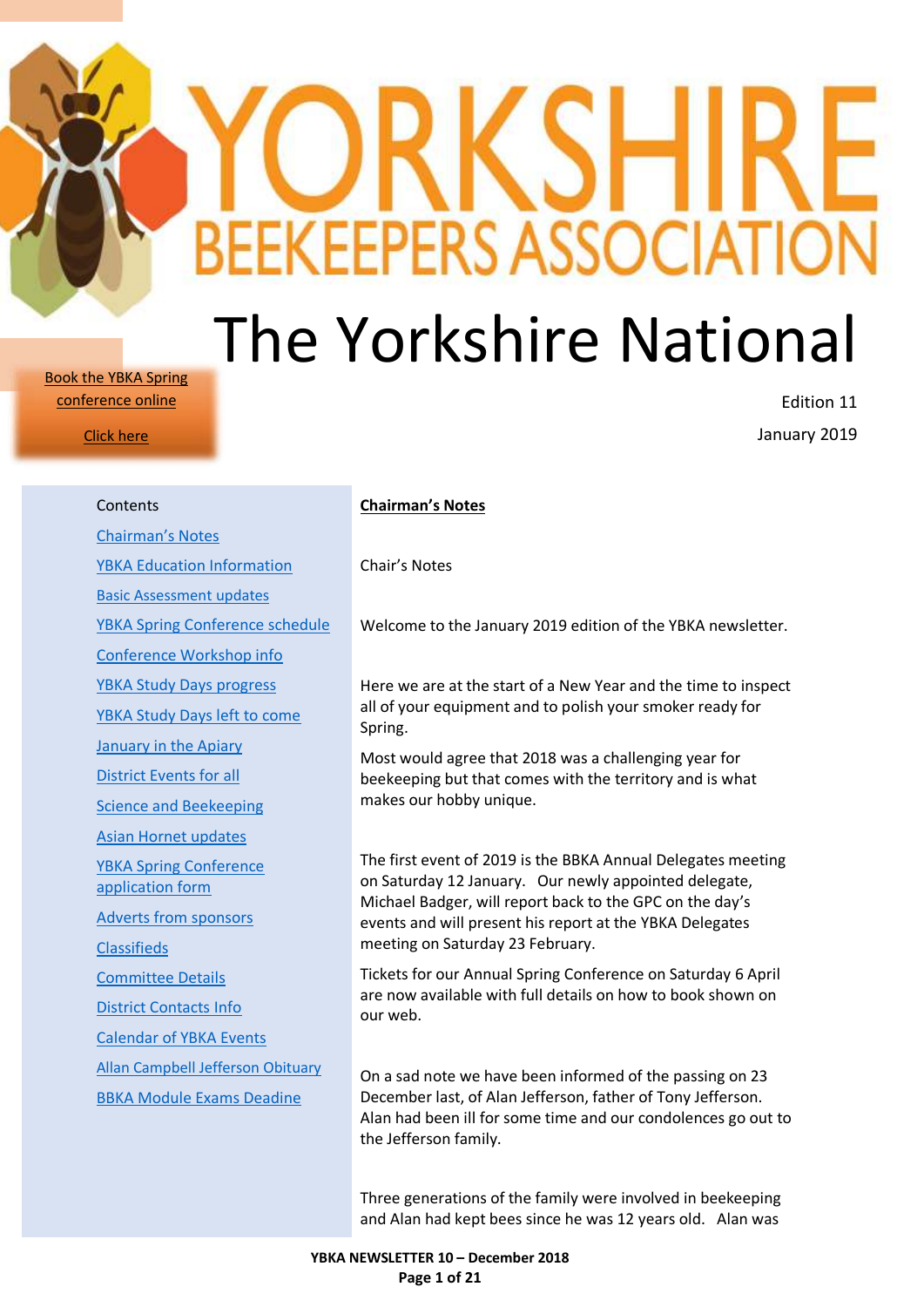# The Yorkshire National

**BEEKEEPERS ASSOCIAT** 

[Book the YBKA Spring](https://ybka.org.uk/event/ybka-conference/)  [conference online](https://ybka.org.uk/event/ybka-conference/)

[Click here](https://ybka.org.uk/event/ybka-conference/)

Edition 11 January 2019

| Contents                                          |
|---------------------------------------------------|
| <b>Chairman's Notes</b>                           |
| <b>YBKA Education Information</b>                 |
| <b>Basic Assessment updates</b>                   |
| <b>YBKA Spring Conference schedule</b>            |
| Conference Workshop info                          |
| <b>YBKA Study Days progress</b>                   |
| <b>YBKA Study Days left to come</b>               |
| <b>January in the Apiary</b>                      |
| <b>District Events for all</b>                    |
| Science and Beekeeping                            |
| Asian Hornet updates                              |
| <b>YBKA Spring Conference</b><br>application form |
| <b>Adverts from sponsors</b>                      |
| <b>Classifieds</b>                                |
| <b>Committee Details</b>                          |
| <b>District Contacts Info</b>                     |
| <b>Calendar of YBKA Events</b>                    |
| <b>Allan Campbell Jefferson Obituary</b>          |
| <b>BBKA Module Exams Deadine</b>                  |
|                                                   |
|                                                   |

#### <span id="page-0-0"></span>**Chairman's Notes**

Chair's Notes

Welcome to the January 2019 edition of the YBKA newsletter.

Here we are at the start of a New Year and the time to inspect all of your equipment and to polish your smoker ready for Spring.

Most would agree that 2018 was a challenging year for beekeeping but that comes with the territory and is what makes our hobby unique.

The first event of 2019 is the BBKA Annual Delegates meeting on Saturday 12 January. Our newly appointed delegate, Michael Badger, will report back to the GPC on the day's events and will present his report at the YBKA Delegates meeting on Saturday 23 February.

Tickets for our Annual Spring Conference on Saturday 6 April are now available with full details on how to book shown on our web.

On a sad note we have been informed of the passing on 23 December last, of Alan Jefferson, father of Tony Jefferson. Alan had been ill for some time and our condolences go out to the Jefferson family.

Three generations of the family were involved in beekeeping and Alan had kept bees since he was 12 years old. Alan was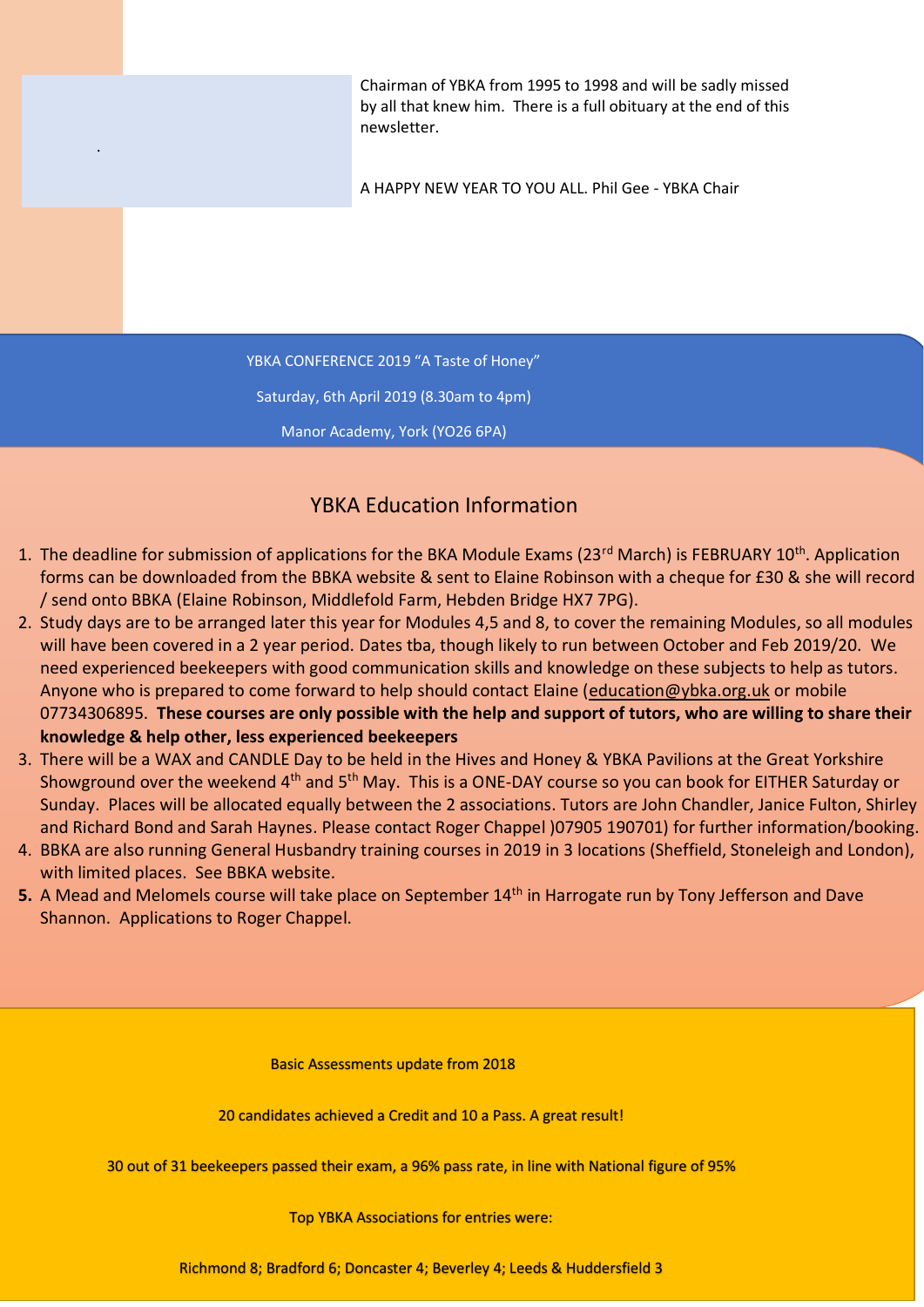Chairman of YBKA from 1995 to 1998 and will be sadly missed by all that knew him. There is a full obituary at the end of this newsletter.

A HAPPY NEW YEAR TO YOU ALL. Phil Gee - YBKA Chair

YBKA CONFERENCE 2019 "A Taste of Honey"

.

Saturday, 6th April 2019 (8.30am to 4pm)

Manor Academy, York (YO26 6PA)

# <span id="page-1-0"></span>YBKA Education Information

- 1. The deadline for submission of applications for the BKA Module Exams (23<sup>rd</sup> March) is FEBRUARY 10<sup>th</sup>. Application forms can be downloaded from the BBKA website & sent to Elaine Robinson with a cheque for £30 & she will record / send onto BBKA (Elaine Robinson, Middlefold Farm, Hebden Bridge HX7 7PG).
- 2. Study days are to be arranged later this year for Modules 4,5 and 8, to cover the remaining Modules, so all modules will have been covered in a 2 year period. Dates tba, though likely to run between October and Feb 2019/20. We need experienced beekeepers with good communication skills and knowledge on these subjects to help as tutors. Anyone who is prepared to come forward to help should contact Elaine [\(education@ybka.org.uk](mailto:education@ybka.org.uk) or mobile 07734306895. **These courses are only possible with the help and support of tutors, who are willing to share their knowledge & help other, less experienced beekeepers**
- 3. There will be a WAX and CANDLE Day to be held in the Hives and Honey & YBKA Pavilions at the Great Yorkshire Showground over the weekend 4<sup>th</sup> and 5<sup>th</sup> May. This is a ONE-DAY course so you can book for EITHER Saturday or Sunday. Places will be allocated equally between the 2 associations. Tutors are John Chandler, Janice Fulton, Shirley and Richard Bond and Sarah Haynes. Please contact Roger Chappel )07905 190701) for further information/booking.
- 4. BBKA are also running General Husbandry training courses in 2019 in 3 locations (Sheffield, Stoneleigh and London), with limited places. See BBKA website.
- <span id="page-1-1"></span>**5.** A Mead and Melomels course will take place on September 14<sup>th</sup> in Harrogate run by Tony Jefferson and Dave Shannon. Applications to Roger Chappel.

Basic Assessments update from 2018

20 candidates achieved a Credit and 10 a Pass. A great result!

<span id="page-1-2"></span>30 out of 31 beekeepers passed their exam, a 96% pass rate, in line with National figure of 95%

Top YBKA Associations for entries were:

**YBKA NEWSLETTER 10 – December 2018 Page 2 of 21** Richmond 8; Bradford 6; Doncaster 4; Beverley 4; Leeds & Huddersfield 3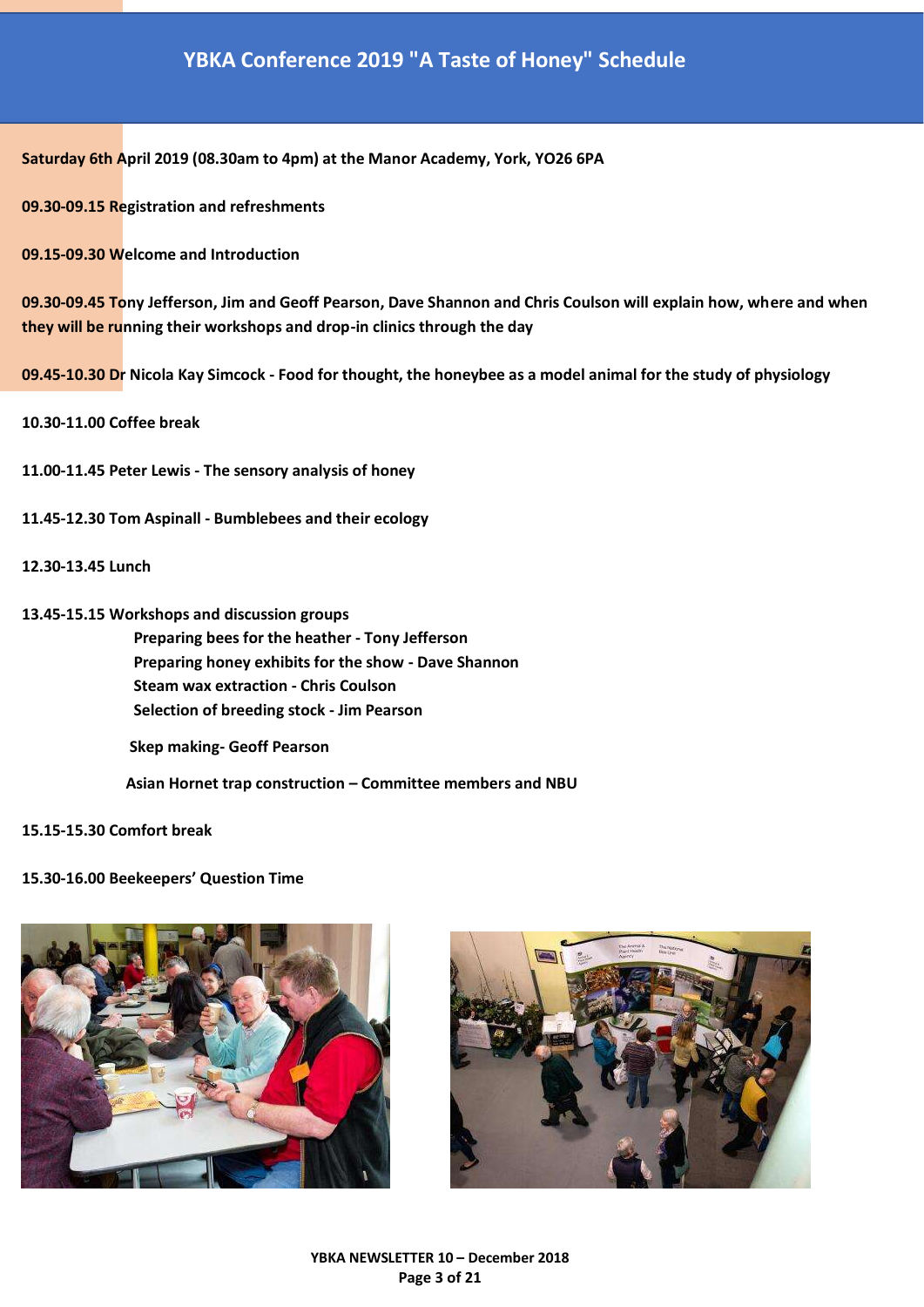## **YBKA Conference 2019 "A Taste of Honey" Schedule**

**Saturday 6th April 2019 (08.30am to 4pm) at the Manor Academy, York, YO26 6PA**

**09.30-09.15 Registration and refreshments**

**09.15-09.30 Welcome and Introduction**

**09.30-09.45 Tony Jefferson, Jim and Geoff Pearson, Dave Shannon and Chris Coulson will explain how, where and when they will be running their workshops and drop-in clinics through the day**

**09.45-10.30 Dr Nicola Kay Simcock - Food for thought, the honeybee as a model animal for the study of physiology**

**10.30-11.00 Coffee break**

**11.00-11.45 Peter Lewis - The sensory analysis of honey**

- **11.45-12.30 Tom Aspinall - Bumblebees and their ecology**
- **12.30-13.45 Lunch**
- **13.45-15.15 Workshops and discussion groups Preparing bees for the heather - Tony Jefferson Preparing honey exhibits for the show - Dave Shannon Steam wax extraction - Chris Coulson Selection of breeding stock - Jim Pearson Skep making- Geoff Pearson**

 **Asian Hornet trap construction – Committee members and NBU**

**15.15-15.30 Comfort break**

#### **15.30-16.00 Beekeepers' Question Time**



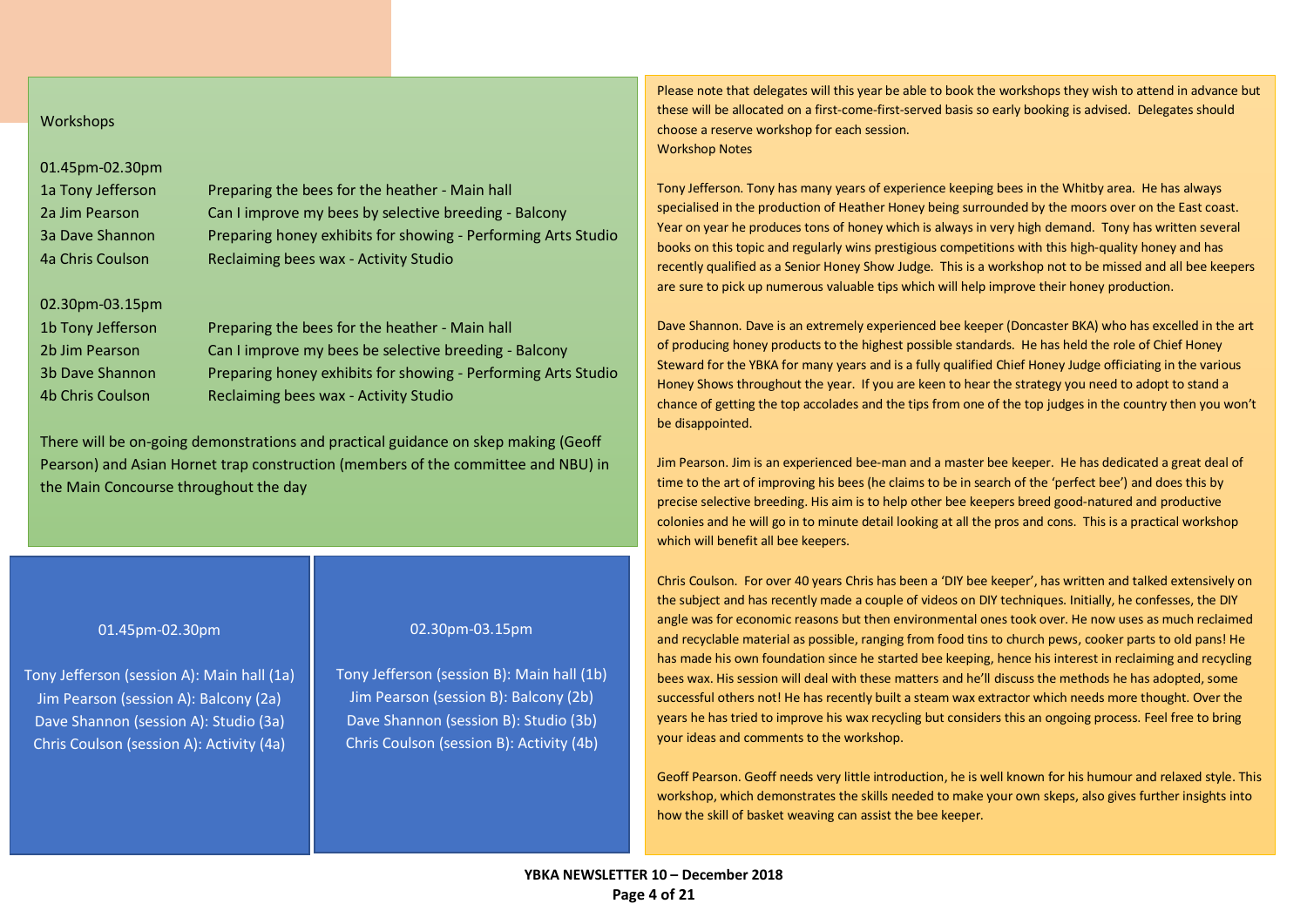#### Workshops

### 01.45pm-02.30pm

| 1a Tony Jefferson | Preparing the bees for the heather - Main hall                |
|-------------------|---------------------------------------------------------------|
| 2a Jim Pearson    | Can I improve my bees by selective breeding - Balcony         |
| 3a Dave Shannon   | Preparing honey exhibits for showing - Performing Arts Studio |
| 4a Chris Coulson  | Reclaiming bees wax - Activity Studio                         |

#### 02.30pm-03.15pm

| 1b Tony Jefferson | Preparing the bees for the heather - Main hall                |
|-------------------|---------------------------------------------------------------|
| 2b Jim Pearson    | Can I improve my bees be selective breeding - Balcony         |
| 3b Dave Shannon   | Preparing honey exhibits for showing - Performing Arts Studio |
| 4b Chris Coulson  | Reclaiming bees wax - Activity Studio                         |

<span id="page-3-0"></span>There will be on-going demonstrations and practical guidance on skep making (Geoff Pearson) and Asian Hornet trap construction (members of the committee and NBU) in the Main Concourse throughout the day

#### 01.45pm-02.30pm

Tony Jefferson (session A): Main hall (1a) Jim Pearson (session A): Balcony (2a) Dave Shannon (session A): Studio (3a) Chris Coulson (session A): Activity (4a)

#### 02.30pm-03.15pm

Tony Jefferson (session B): Main hall (1b) Jim Pearson (session B): Balcony (2b) Dave Shannon (session B): Studio (3b) Chris Coulson (session B): Activity (4b)

Please note that delegates will this year be able to book the workshops they wish to attend in advance but these will be allocated on a first-come-first-served basis so early booking is advised. Delegates should choose a reserve workshop for each session. Workshop Notes

Tony Jefferson. Tony has many years of experience keeping bees in the Whitby area. He has always specialised in the production of Heather Honey being surrounded by the moors over on the East coast. Year on year he produces tons of honey which is always in very high demand. Tony has written several books on this topic and regularly wins prestigious competitions with this high-quality honey and has recently qualified as a Senior Honey Show Judge. This is a workshop not to be missed and all bee keepers are sure to pick up numerous valuable tips which will help improve their honey production.

Dave Shannon. Dave is an extremely experienced bee keeper (Doncaster BKA) who has excelled in the art of producing honey products to the highest possible standards. He has held the role of Chief Honey Steward for the YBKA for many years and is a fully qualified Chief Honey Judge officiating in the various Honey Shows throughout the year. If you are keen to hear the strategy you need to adopt to stand a chance of getting the top accolades and the tips from one of the top judges in the country then you won't be disappointed.

Jim Pearson. Jim is an experienced bee-man and a master bee keeper. He has dedicated a great deal of time to the art of improving his bees (he claims to be in search of the 'perfect bee') and does this by precise selective breeding. His aim is to help other bee keepers breed good-natured and productive colonies and he will go in to minute detail looking at all the pros and cons. This is a practical workshop which will benefit all bee keepers.

Chris Coulson. For over 40 years Chris has been a 'DIY bee keeper', has written and talked extensively on the subject and has recently made a couple of videos on DIY techniques. Initially, he confesses, the DIY angle was for economic reasons but then environmental ones took over. He now uses as much reclaimed and recyclable material as possible, ranging from food tins to church pews, cooker parts to old pans! He has made his own foundation since he started bee keeping, hence his interest in reclaiming and recycling bees wax. His session will deal with these matters and he'll discuss the methods he has adopted, some successful others not! He has recently built a steam wax extractor which needs more thought. Over the years he has tried to improve his wax recycling but considers this an ongoing process. Feel free to bring your ideas and comments to the workshop.

Geoff Pearson. Geoff needs very little introduction, he is well known for his humour and relaxed style. This workshop, which demonstrates the skills needed to make your own skeps, also gives further insights into how the skill of basket weaving can assist the bee keeper.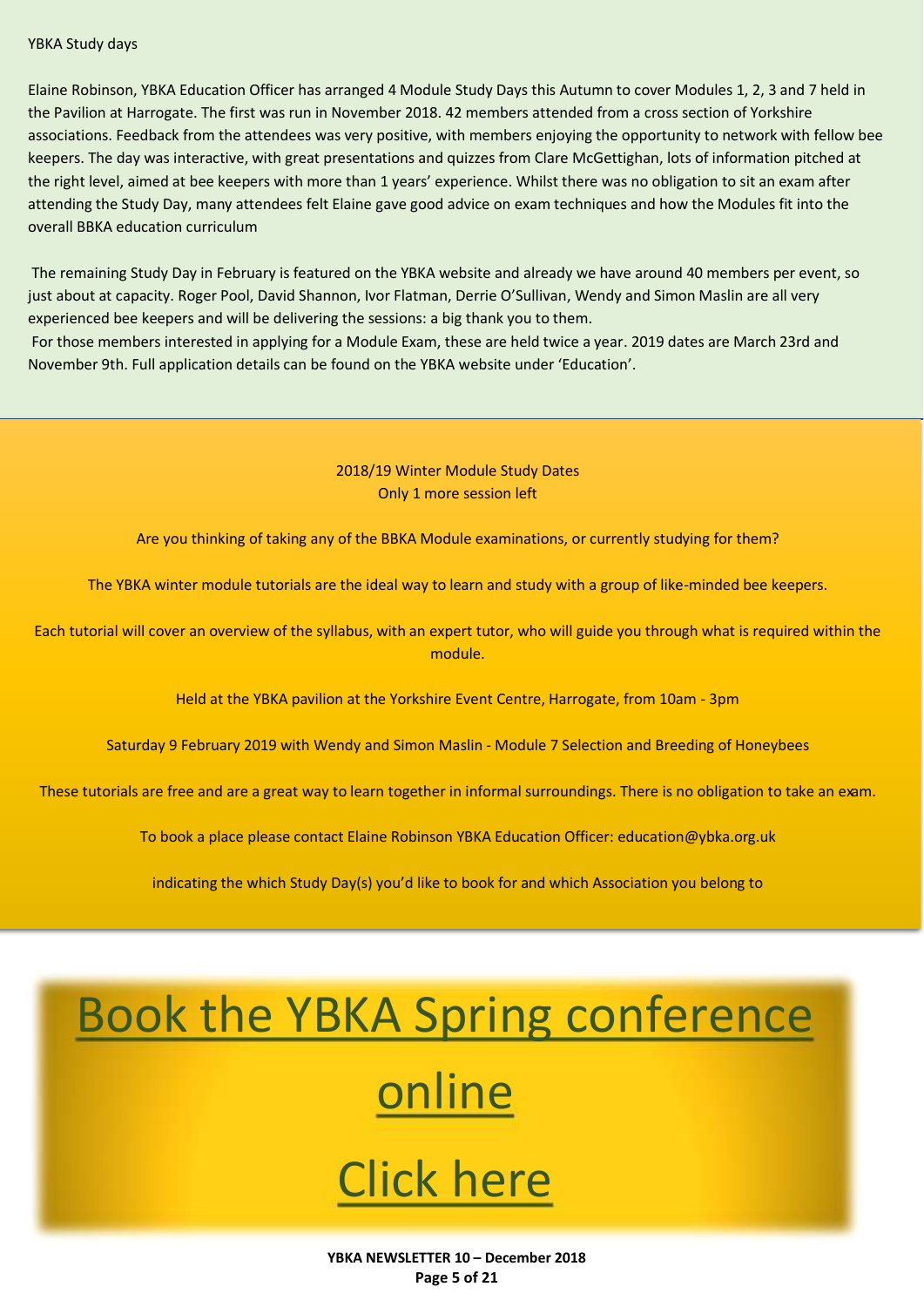#### <span id="page-4-0"></span>YBKA Study days

Elaine Robinson, YBKA Education Officer has arranged 4 Module Study Days this Autumn to cover Modules 1, 2, 3 and 7 held in the Pavilion at Harrogate. The first was run in November 2018. 42 members attended from a cross section of Yorkshire associations. Feedback from the attendees was very positive, with members enjoying the opportunity to network with fellow bee keepers. The day was interactive, with great presentations and quizzes from Clare McGettighan, lots of information pitched at the right level, aimed at bee keepers with more than 1 years' experience. Whilst there was no obligation to sit an exam after attending the Study Day, many attendees felt Elaine gave good advice on exam techniques and how the Modules fit into the overall BBKA education curriculum

The remaining Study Day in February is featured on the YBKA website and already we have around 40 members per event, so just about at capacity. Roger Pool, David Shannon, Ivor Flatman, Derrie O'Sullivan, Wendy and Simon Maslin are all very experienced bee keepers and will be delivering the sessions: a big thank you to them.

<span id="page-4-1"></span>For those members interested in applying for a Module Exam, these are held twice a year. 2019 dates are March 23rd and November 9th. Full application details can be found on the YBKA website under 'Education'.

### 2018/19 Winter Module Study Dates Only 1 more session left

Are you thinking of taking any of the BBKA Module examinations, or currently studying for them?

The YBKA winter module tutorials are the ideal way to learn and study with a group of like-minded bee keepers.

Each tutorial will cover an overview of the syllabus, with an expert tutor, who will guide you through what is required within the module.

Held at the YBKA pavilion at the Yorkshire Event Centre, Harrogate, from 10am - 3pm

Saturday 9 February 2019 with Wendy and Simon Maslin - Module 7 Selection and Breeding of Honeybees

These tutorials are free and are a great way to learn together in informal surroundings. There is no obligation to take an exam.

To book a place please contact Elaine Robinson YBKA Education Officer: education@ybka.org.uk

indicating the which Study Day(s) you'd like to book for and which Association you belong to

# [Book the YBKA Spring conference](https://ybka.org.uk/event/ybka-conference/)

# [online](https://ybka.org.uk/event/ybka-conference/)

# [Click here](https://ybka.org.uk/event/ybka-conference/)

**YBKA NEWSLETTER 10 – December 2018 Page 5 of 21**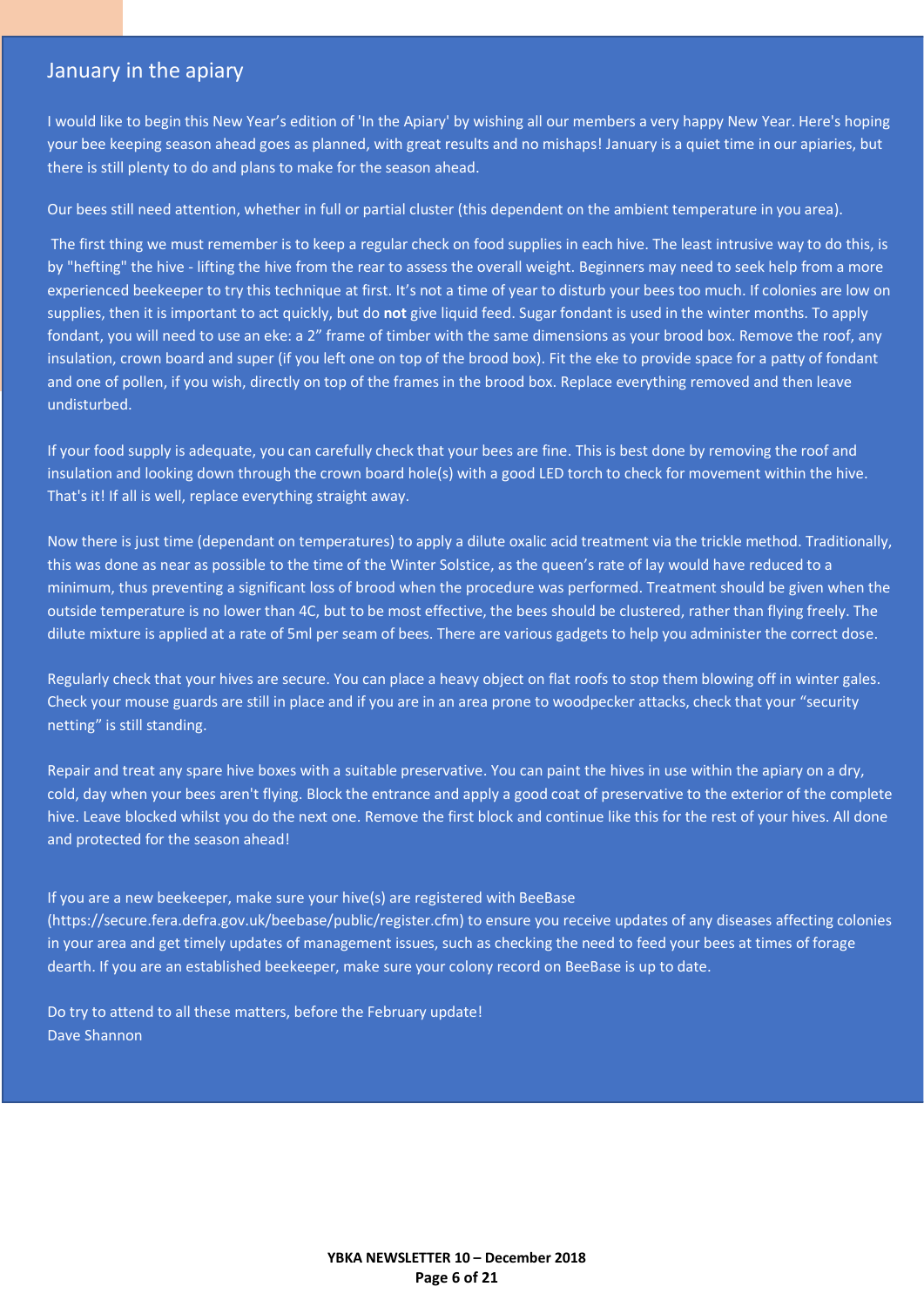### <span id="page-5-0"></span>January in the apiary

I would like to begin this New Year's edition of 'In the Apiary' by wishing all our members a very happy New Year. Here's hoping your bee keeping season ahead goes as planned, with great results and no mishaps! January is a quiet time in our apiaries, but there is still plenty to do and plans to make for the season ahead.

Our bees still need attention, whether in full or partial cluster (this dependent on the ambient temperature in you area).

The first thing we must remember is to keep a regular check on food supplies in each hive. The least intrusive way to do this, is by "hefting" the hive - lifting the hive from the rear to assess the overall weight. Beginners may need to seek help from a more experienced beekeeper to try this technique at first. It's not a time of year to disturb your bees too much. If colonies are low on supplies, then it is important to act quickly, but do **not** give liquid feed. Sugar fondant is used in the winter months. To apply fondant, you will need to use an eke: a 2" frame of timber with the same dimensions as your brood box. Remove the roof, any insulation, crown board and super (if you left one on top of the brood box). Fit the eke to provide space for a patty of fondant and one of pollen, if you wish, directly on top of the frames in the brood box. Replace everything removed and then leave undisturbed.

If your food supply is adequate, you can carefully check that your bees are fine. This is best done by removing the roof and insulation and looking down through the crown board hole(s) with a good LED torch to check for movement within the hive. That's it! If all is well, replace everything straight away.

Now there is just time (dependant on temperatures) to apply a dilute oxalic acid treatment via the trickle method. Traditionally, this was done as near as possible to the time of the Winter Solstice, as the queen's rate of lay would have reduced to a minimum, thus preventing a significant loss of brood when the procedure was performed. Treatment should be given when the outside temperature is no lower than 4C, but to be most effective, the bees should be clustered, rather than flying freely. The dilute mixture is applied at a rate of 5ml per seam of bees. There are various gadgets to help you administer the correct dose.

Regularly check that your hives are secure. You can place a heavy object on flat roofs to stop them blowing off in winter gales. Check your mouse guards are still in place and if you are in an area prone to woodpecker attacks, check that your "security netting" is still standing.

Repair and treat any spare hive boxes with a suitable preservative. You can paint the hives in use within the apiary on a dry, cold, day when your bees aren't flying. Block the entrance and apply a good coat of preservative to the exterior of the complete hive. Leave blocked whilst you do the next one. Remove the first block and continue like this for the rest of your hives. All done and protected for the season ahead!

If you are a new beekeeper, make sure your hive(s) are registered with BeeBase

(https://secure.fera.defra.gov.uk/beebase/public/register.cfm) to ensure you receive updates of any diseases affecting colonies in your area and get timely updates of management issues, such as checking the need to feed your bees at times of forage dearth. If you are an established beekeeper, make sure your colony record on BeeBase is up to date.

Do try to attend to all these matters, before the February update! Dave Shannon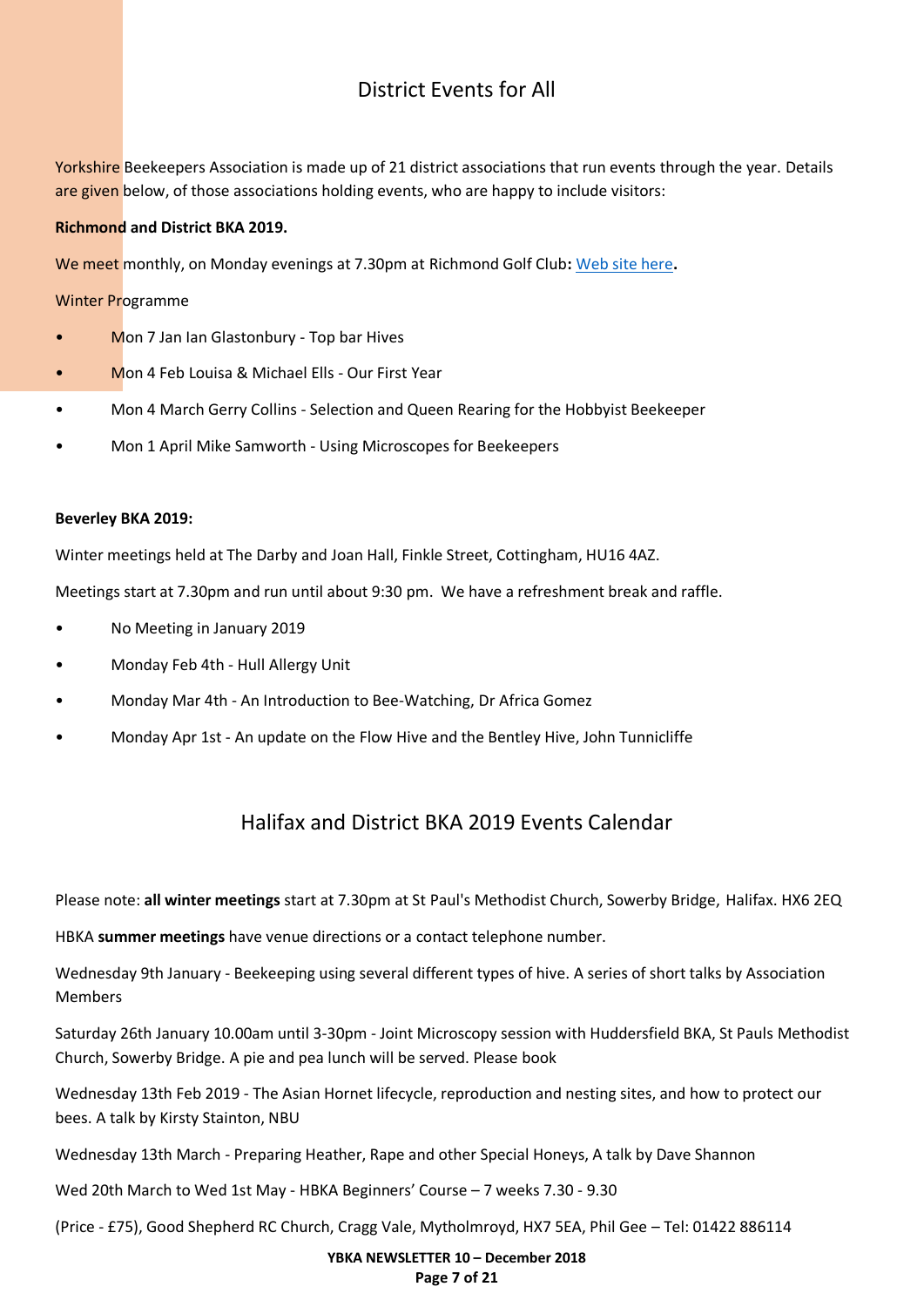# District Events for All

<span id="page-6-0"></span>Yorkshire Beekeepers Association is made up of 21 district associations that run events through the year. Details are given below, of those associations holding events, who are happy to include visitors:

### **Richmond and District BKA 2019.**

We meet monthly, on Monday evenings at 7.30pm at Richmond Golf Club**:** [Web site here](https://www.therichmondgolfclub.com/)**.**

Winter Programme

- Mon 7 Jan Ian Glastonbury Top bar Hives
- Mon 4 Feb Louisa & Michael Ells Our First Year
- Mon 4 March Gerry Collins Selection and Queen Rearing for the Hobbyist Beekeeper
- Mon 1 April Mike Samworth Using Microscopes for Beekeepers

#### **Beverley BKA 2019:**

Winter meetings held at The Darby and Joan Hall, Finkle Street, Cottingham, HU16 4AZ.

Meetings start at 7.30pm and run until about 9:30 pm. We have a refreshment break and raffle.

- No Meeting in January 2019
- Monday Feb 4th Hull Allergy Unit
- Monday Mar 4th An Introduction to Bee-Watching, Dr Africa Gomez
- Monday Apr 1st An update on the Flow Hive and the Bentley Hive, John Tunnicliffe

## Halifax and District BKA 2019 Events Calendar

Please note: **all winter meetings** start at 7.30pm at St Paul's Methodist Church, Sowerby Bridge, Halifax. HX6 2EQ

HBKA **summer meetings** have venue directions or a contact telephone number.

Wednesday 9th January - Beekeeping using several different types of hive. A series of short talks by Association Members

Saturday 26th January 10.00am until 3-30pm - Joint Microscopy session with Huddersfield BKA, St Pauls Methodist Church, Sowerby Bridge. A pie and pea lunch will be served. Please book

Wednesday 13th Feb 2019 - The Asian Hornet lifecycle, reproduction and nesting sites, and how to protect our bees. A talk by Kirsty Stainton, NBU

Wednesday 13th March - Preparing Heather, Rape and other Special Honeys, A talk by Dave Shannon

Wed 20th March to Wed 1st May - HBKA Beginners' Course – 7 weeks 7.30 - 9.30

(Price - £75), Good Shepherd RC Church, Cragg Vale, Mytholmroyd, HX7 5EA, Phil Gee – Tel: 01422 886114

#### **YBKA NEWSLETTER 10 – December 2018 Page 7 of 21**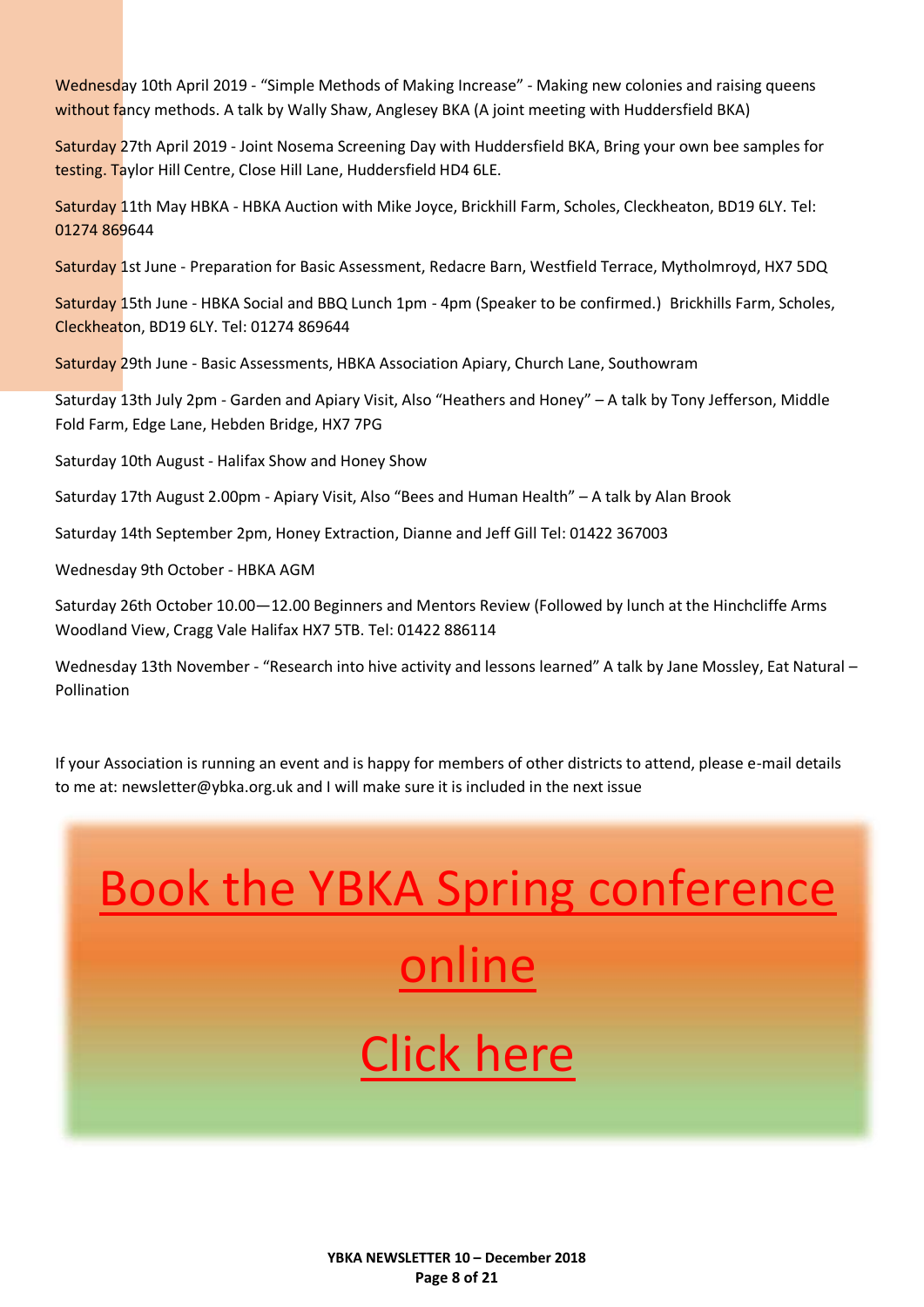Wednesday 10th April 2019 - "Simple Methods of Making Increase" - Making new colonies and raising queens without fancy methods. A talk by Wally Shaw, Anglesey BKA (A joint meeting with Huddersfield BKA)

Saturday 27th April 2019 - Joint Nosema Screening Day with Huddersfield BKA, Bring your own bee samples for testing. Taylor Hill Centre, Close Hill Lane, Huddersfield HD4 6LE.

Saturday 11th May HBKA - HBKA Auction with Mike Joyce, Brickhill Farm, Scholes, Cleckheaton, BD19 6LY. Tel: 01274 869644

Saturday 1st June - Preparation for Basic Assessment, Redacre Barn, Westfield Terrace, Mytholmroyd, HX7 5DQ

Saturday 15th June - HBKA Social and BBQ Lunch 1pm - 4pm (Speaker to be confirmed.) Brickhills Farm, Scholes, Cleckheaton, BD19 6LY. Tel: 01274 869644

Saturday 29th June - Basic Assessments, HBKA Association Apiary, Church Lane, Southowram

Saturday 13th July 2pm - Garden and Apiary Visit, Also "Heathers and Honey" – A talk by Tony Jefferson, Middle Fold Farm, Edge Lane, Hebden Bridge, HX7 7PG

Saturday 10th August - Halifax Show and Honey Show

Saturday 17th August 2.00pm - Apiary Visit, Also "Bees and Human Health" – A talk by Alan Brook

Saturday 14th September 2pm, Honey Extraction, Dianne and Jeff Gill Tel: 01422 367003

Wednesday 9th October - HBKA AGM

Saturday 26th October 10.00—12.00 Beginners and Mentors Review (Followed by lunch at the Hinchcliffe Arms Woodland View, Cragg Vale Halifax HX7 5TB. Tel: 01422 886114

Wednesday 13th November - "Research into hive activity and lessons learned" A talk by Jane Mossley, Eat Natural -Pollination

If your Association is running an event and is happy for members of other districts to attend, please e-mail details to me at: newsletter@ybka.org.uk and I will make sure it is included in the next issue

# [Book the YBKA Spring conference](https://ybka.org.uk/event/ybka-conference/)  [online](https://ybka.org.uk/event/ybka-conference/) [Click here](https://ybka.org.uk/event/ybka-conference/)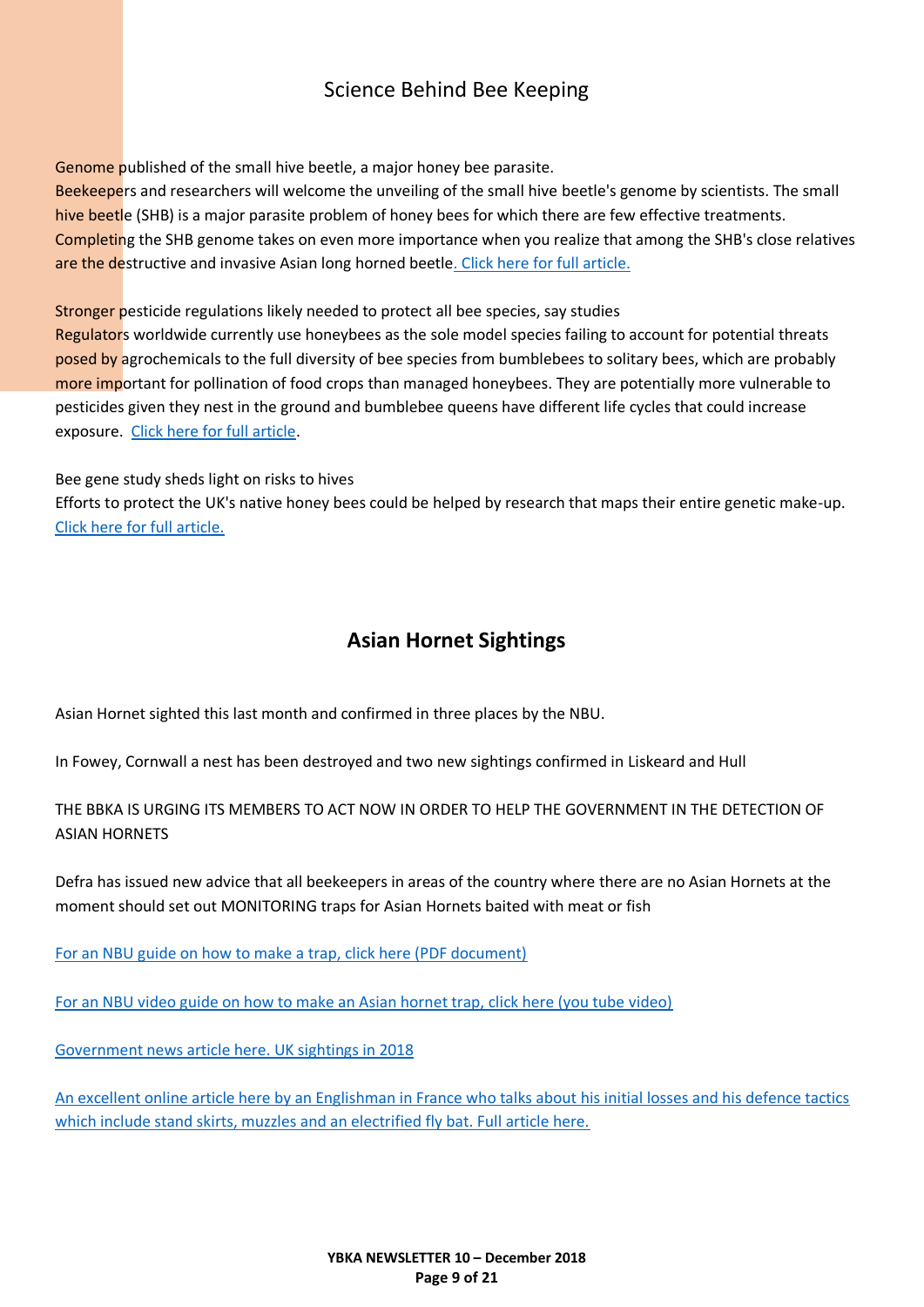# Science Behind Bee Keeping

<span id="page-8-0"></span>Genome published of the small hive beetle, a major honey bee parasite.

Beekeepers and researchers will welcome the unveiling of the small hive beetle's genome by scientists. The small hive beetle (SHB) is a major parasite problem of honey bees for which there are few effective treatments. Completing the SHB genome takes on even more importance when you realize that among the SHB's close relatives are the destructive and invasive Asian long horned beetl[e. Click here for full article.](https://www.sciencedaily.com/releases/2018/12/181220104722.htm)

Stronger pesticide regulations likely needed to protect all bee species, say studies

Regulators worldwide currently use honeybees as the sole model species failing to account for potential threats posed by agrochemicals to the full diversity of bee species from bumblebees to solitary bees, which are probably more important for pollination of food crops than managed honeybees. They are potentially more vulnerable to pesticides given they nest in the ground and bumblebee queens have different life cycles that could increase exposure. [Click here for full article.](https://www.sciencedaily.com/releases/2018/12/181211122501.htm)

Bee gene study sheds light on risks to hives

Efforts to protect the UK's native honey bees could be helped by research that maps their entire genetic make-up. [Click here for full article.](https://www.sciencedaily.com/releases/2018/11/181127092517.htm)

## **Asian Hornet Sightings**

<span id="page-8-1"></span>Asian Hornet sighted this last month and confirmed in three places by the NBU.

In Fowey, Cornwall a nest has been destroyed and two new sightings confirmed in Liskeard and Hull

THE BBKA IS URGING ITS MEMBERS TO ACT NOW IN ORDER TO HELP THE GOVERNMENT IN THE DETECTION OF ASIAN HORNETS

Defra has issued new advice that all beekeepers in areas of the country where there are no Asian Hornets at the moment should set out MONITORING traps for Asian Hornets baited with meat or fish

[For an NBU guide on how to make a trap, click here \(PDF document\)](http://www.nationalbeeunit.com/downloadNews.cfm?id=122)

[For an NBU video guide on how to make an Asian hornet trap, click here \(you tube video\)](https://www.youtube.com/watch?v=CR6MUekAjMo)

[Government news article here. UK sightings in 2018](https://www.gov.uk/government/news/asian-hornet-uk-sightings-in-2018)

[An excellent online article here by an Englishman in France who talks about his initial losses and his defence tactics](https://honeybeesuite.com/beekeeping-with-asian-hornets/)  [which include stand skirts, muzzles and an electrified fly bat. Full article here.](https://honeybeesuite.com/beekeeping-with-asian-hornets/)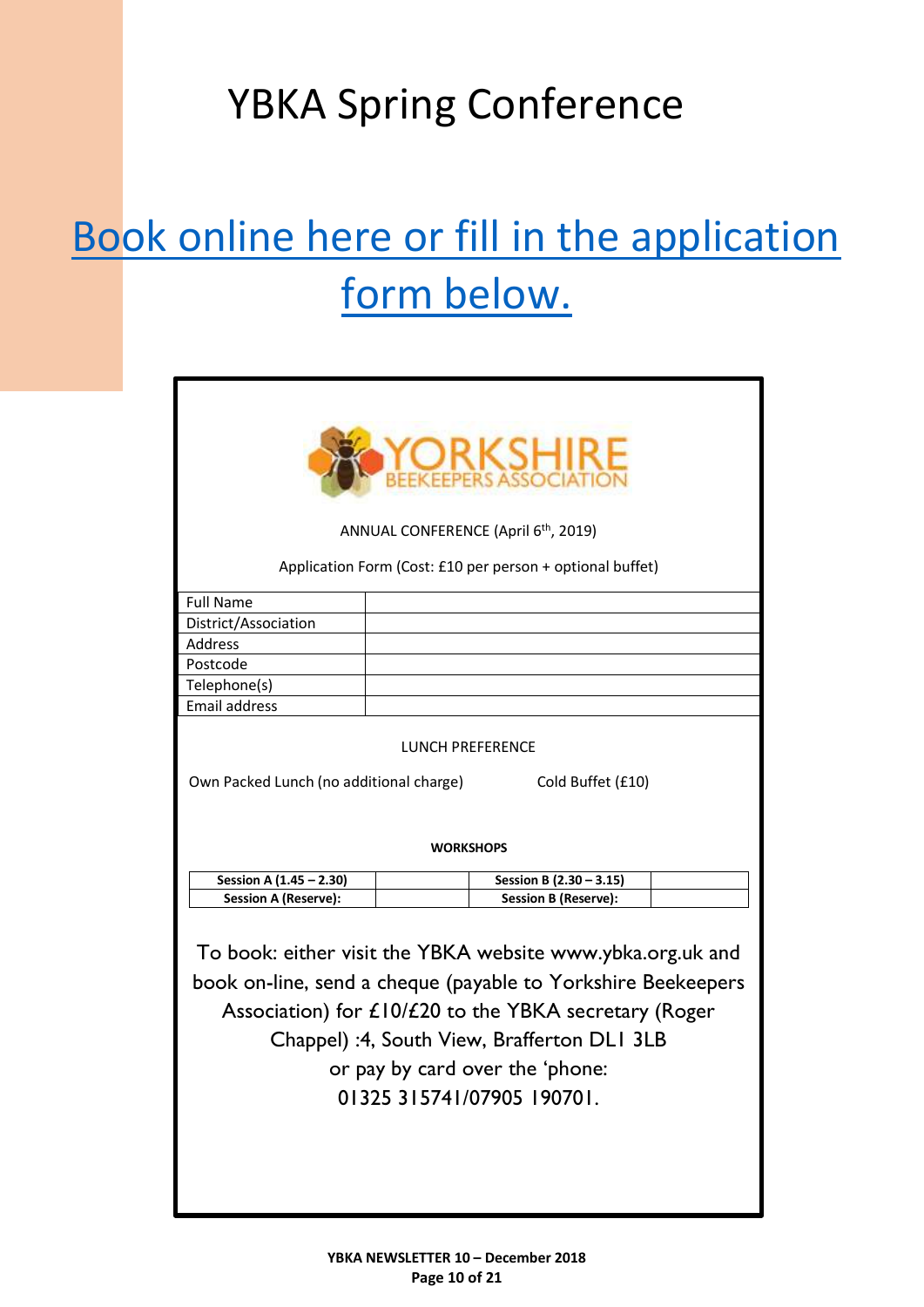# YBKA Spring Conference

# [Book online here or fill in the application](https://ybka.org.uk/event/ybka-conference/)  [form below.](https://ybka.org.uk/event/ybka-conference/)

<span id="page-9-0"></span>

| <b>ORKSHI</b><br>ANNUAL CONFERENCE (April 6 <sup>th</sup> , 2019)<br>Application Form (Cost: £10 per person + optional buffet)                                                                                                                                                                      |  |                             |  |  |
|-----------------------------------------------------------------------------------------------------------------------------------------------------------------------------------------------------------------------------------------------------------------------------------------------------|--|-----------------------------|--|--|
| <b>Full Name</b>                                                                                                                                                                                                                                                                                    |  |                             |  |  |
| District/Association                                                                                                                                                                                                                                                                                |  |                             |  |  |
| <b>Address</b>                                                                                                                                                                                                                                                                                      |  |                             |  |  |
| Postcode                                                                                                                                                                                                                                                                                            |  |                             |  |  |
| Telephone(s)                                                                                                                                                                                                                                                                                        |  |                             |  |  |
| <b>Email address</b>                                                                                                                                                                                                                                                                                |  |                             |  |  |
| LUNCH PREFERENCE<br>Own Packed Lunch (no additional charge)<br>Cold Buffet (£10)<br><b>WORKSHOPS</b>                                                                                                                                                                                                |  |                             |  |  |
| Session A (1.45 - 2.30)                                                                                                                                                                                                                                                                             |  | Session B (2.30 - 3.15)     |  |  |
| <b>Session A (Reserve):</b>                                                                                                                                                                                                                                                                         |  | <b>Session B (Reserve):</b> |  |  |
| To book: either visit the YBKA website www.ybka.org.uk and<br>book on-line, send a cheque (payable to Yorkshire Beekeepers<br>Association) for £10/£20 to the YBKA secretary (Roger<br>Chappel) :4, South View, Brafferton DLI 3LB<br>or pay by card over the 'phone:<br>01325 315741/07905 190701. |  |                             |  |  |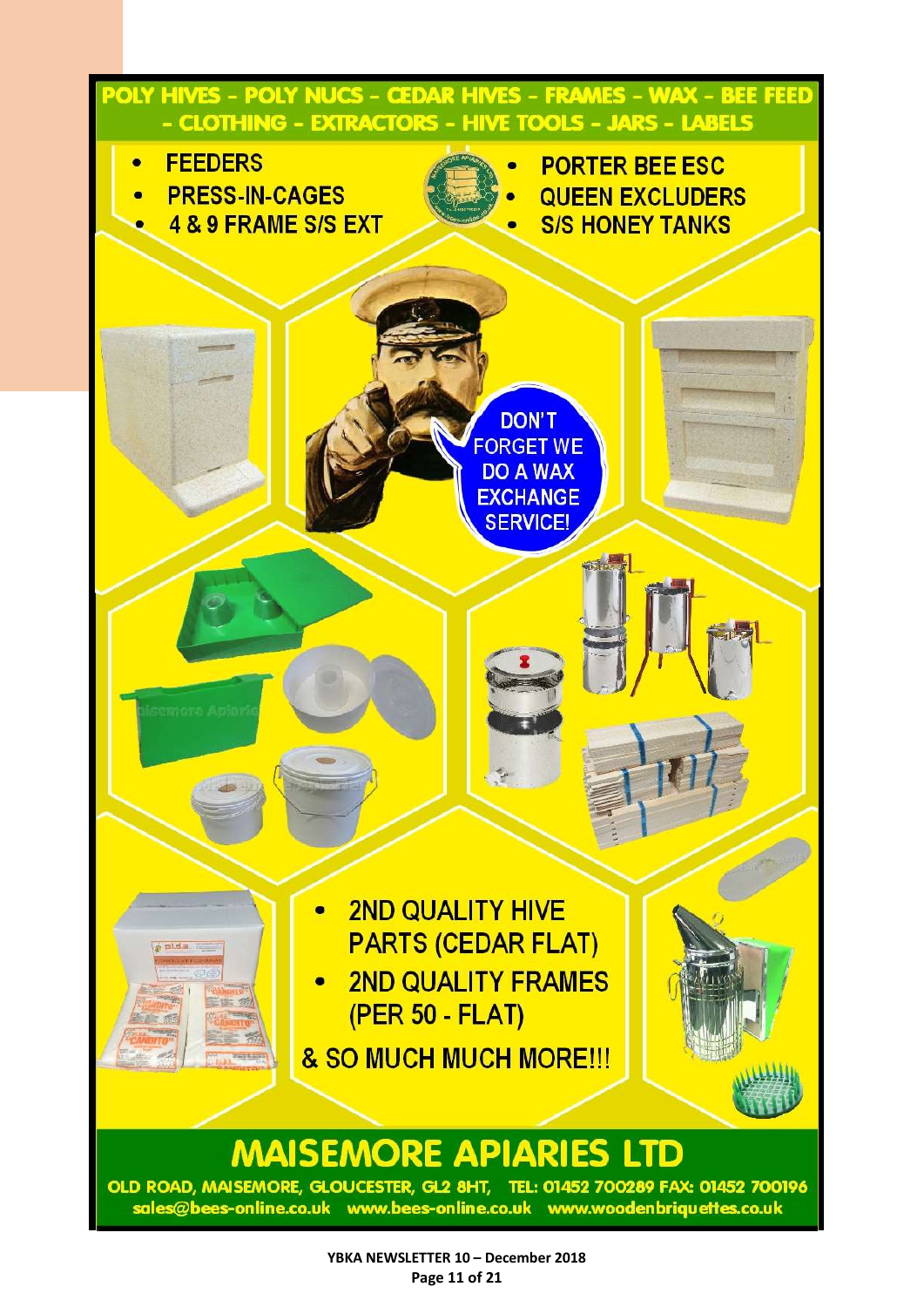<span id="page-10-0"></span>

OLD ROAD, MAISEMORE, GLOUCESTER, GL2 8HT, TEL: 01452 700289 FAX: 01452 700196 sales@bees-online.co.uk www.bees-online.co.uk www.woodenbriquettes.co.uk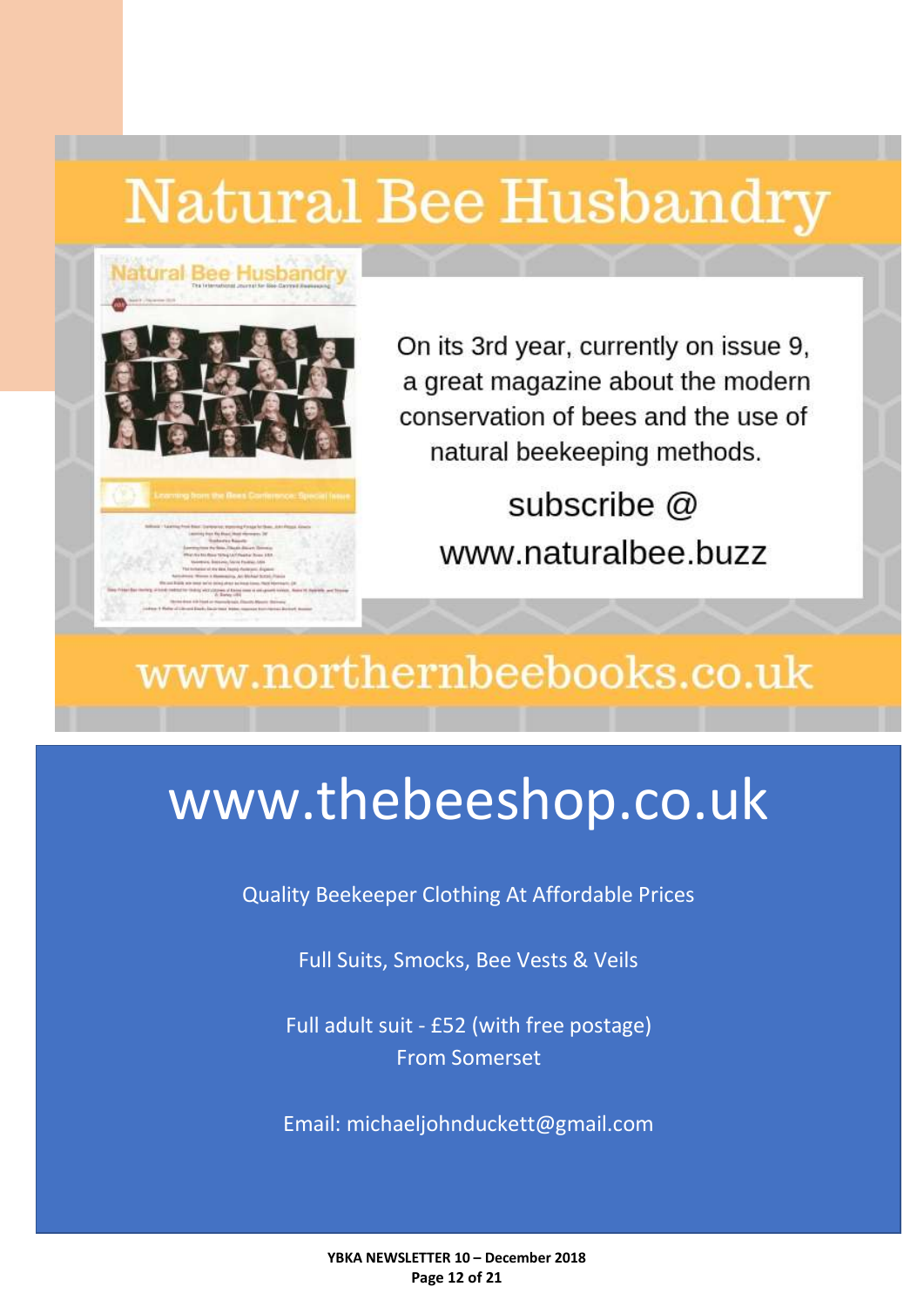# Natural Bee Husbandry



On its 3rd year, currently on issue 9, a great magazine about the modern conservation of bees and the use of natural beekeeping methods.

subscribe @ www.naturalbee.buzz

# www.northernbeebooks.co.uk

# www.thebeeshop.co.uk

Quality Beekeeper Clothing At Affordable Prices

Full Suits, Smocks, Bee Vests & Veils

Full adult suit - £52 (with free postage) From Somerset

Email: michaeljohnduckett@gmail.com

**YBKA NEWSLETTER 10 – December 2018 Page 12 of 21**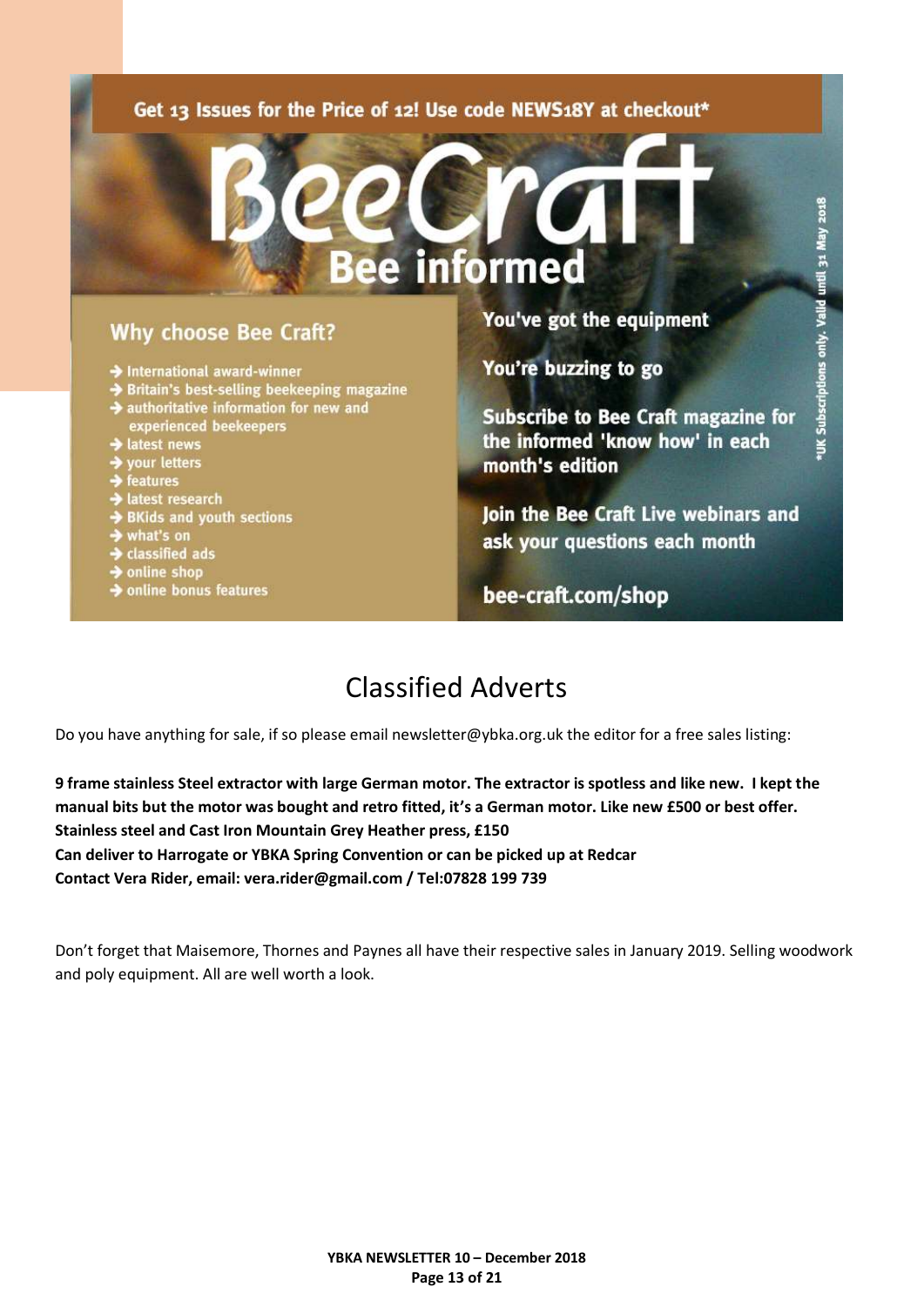### Get 13 Issues for the Price of 12! Use code NEWS18Y at checkout\*

### **Why choose Bee Craft?**

- $\rightarrow$  International award-winner
- Britain's best-selling beekeeping magazine
- authoritative information for new and experienced beekeepers
- latest news
- your letters
- features
- $\blacktriangleright$  latest research
- SKids and youth sections
- $\rightarrow$  what's on
- $\rightarrow$  classified ads
- $\rightarrow$  online shop
- $\rightarrow$  online bonus features

You've got the equipment

You're buzzing to go

informed

**Subscribe to Bee Craft magazine for** the informed 'know how' in each month's edition

Join the Bee Craft Live webinars and ask your questions each month

bee-craft.com/shop

# Classified Adverts

<span id="page-12-0"></span>Do you have anything for sale, if so please email newsletter@ybka.org.uk the editor for a free sales listing:

**9 frame stainless Steel extractor with large German motor. The extractor is spotless and like new. I kept the manual bits but the motor was bought and retro fitted, it's a German motor. Like new £500 or best offer. Stainless steel and Cast Iron Mountain Grey Heather press, £150 Can deliver to Harrogate or YBKA Spring Convention or can be picked up at Redcar Contact Vera Rider, email: vera.rider@gmail.com / Tel:07828 199 739**

Don't forget that Maisemore, Thornes and Paynes all have their respective sales in January 2019. Selling woodwork and poly equipment. All are well worth a look.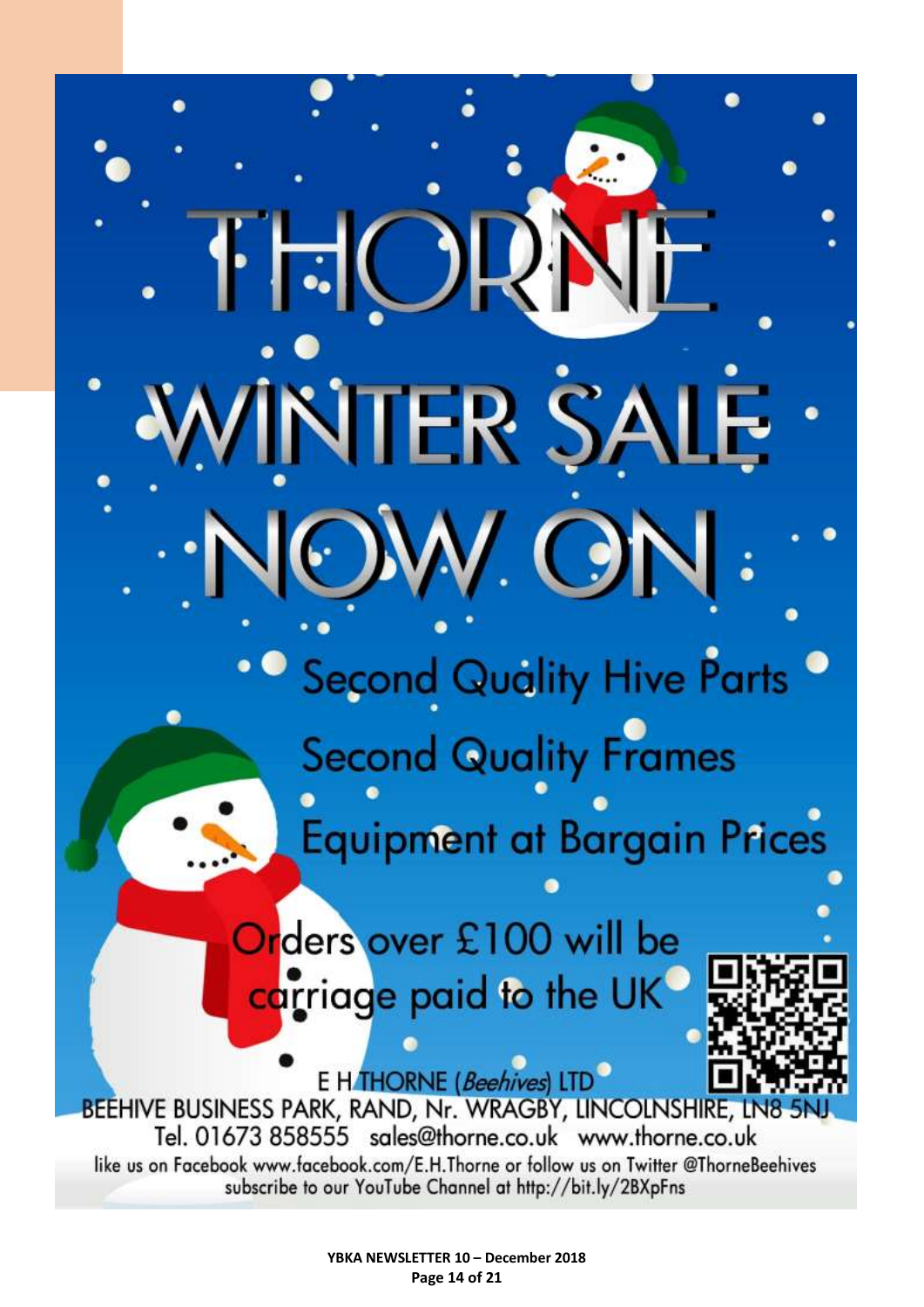NTER SALE **Or Second Quality Hive Parts Second Quality Frames Equipment at Bargain Prices** Orders over £100 will be

トト

carriage paid to the UK

E H THORNE (Beehives) LTD BEEHIVE BUSINESS PARK, RAND, Nr. WRAGBY, LINCOLNSHIRE, LN8 Tel. 01673 858555 sales@thorne.co.uk www.thorne.co.uk like us on Facebook www.facebook.com/E.H.Thorne or follow us on Twitter @ThorneBeehives subscribe to our YouTube Channel at http://bit.ly/2BXpFns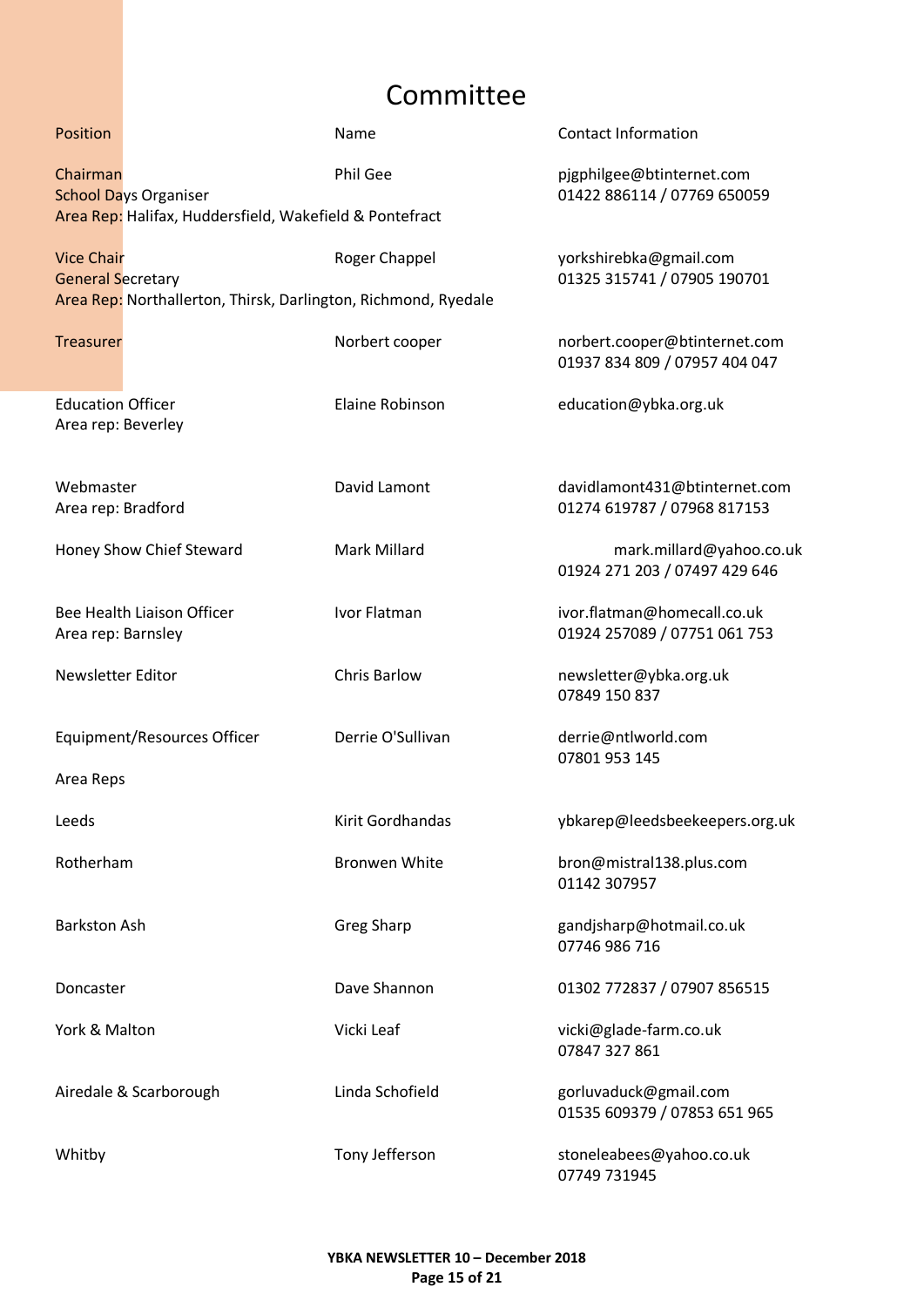# Committee

<span id="page-14-0"></span>

| Position                                       |                                                                | Name                 | <b>Contact Information</b>                                     |
|------------------------------------------------|----------------------------------------------------------------|----------------------|----------------------------------------------------------------|
| Chairman                                       | <b>School Days Organiser</b>                                   | Phil Gee             | pjgphilgee@btinternet.com<br>01422 886114 / 07769 650059       |
|                                                | Area Rep: Halifax, Huddersfield, Wakefield & Pontefract        |                      |                                                                |
| <b>Vice Chair</b><br><b>General Secretary</b>  |                                                                | Roger Chappel        | yorkshirebka@gmail.com<br>01325 315741 / 07905 190701          |
|                                                | Area Rep: Northallerton, Thirsk, Darlington, Richmond, Ryedale |                      |                                                                |
| <b>Treasurer</b>                               |                                                                | Norbert cooper       | norbert.cooper@btinternet.com<br>01937 834 809 / 07957 404 047 |
| <b>Education Officer</b><br>Area rep: Beverley |                                                                | Elaine Robinson      | education@ybka.org.uk                                          |
| Webmaster<br>Area rep: Bradford                |                                                                | David Lamont         | davidlamont431@btinternet.com<br>01274 619787 / 07968 817153   |
|                                                | Honey Show Chief Steward                                       | <b>Mark Millard</b>  | mark.millard@yahoo.co.uk<br>01924 271 203 / 07497 429 646      |
| Area rep: Barnsley                             | Bee Health Liaison Officer                                     | Ivor Flatman         | ivor.flatman@homecall.co.uk<br>01924 257089 / 07751 061 753    |
| <b>Newsletter Editor</b>                       |                                                                | <b>Chris Barlow</b>  | newsletter@ybka.org.uk<br>07849 150 837                        |
|                                                | Equipment/Resources Officer                                    | Derrie O'Sullivan    | derrie@ntlworld.com<br>07801 953 145                           |
| Area Reps                                      |                                                                |                      |                                                                |
| Leeds                                          |                                                                | Kirit Gordhandas     | ybkarep@leedsbeekeepers.org.uk                                 |
| Rotherham                                      |                                                                | <b>Bronwen White</b> | bron@mistral138.plus.com<br>01142 307957                       |
| <b>Barkston Ash</b>                            |                                                                | <b>Greg Sharp</b>    | gandjsharp@hotmail.co.uk<br>07746 986 716                      |
| Doncaster                                      |                                                                | Dave Shannon         | 01302 772837 / 07907 856515                                    |
| York & Malton                                  |                                                                | Vicki Leaf           | vicki@glade-farm.co.uk<br>07847 327 861                        |
|                                                | Airedale & Scarborough                                         | Linda Schofield      | gorluvaduck@gmail.com<br>01535 609379 / 07853 651 965          |
| Whitby                                         |                                                                | Tony Jefferson       | stoneleabees@yahoo.co.uk<br>07749 731945                       |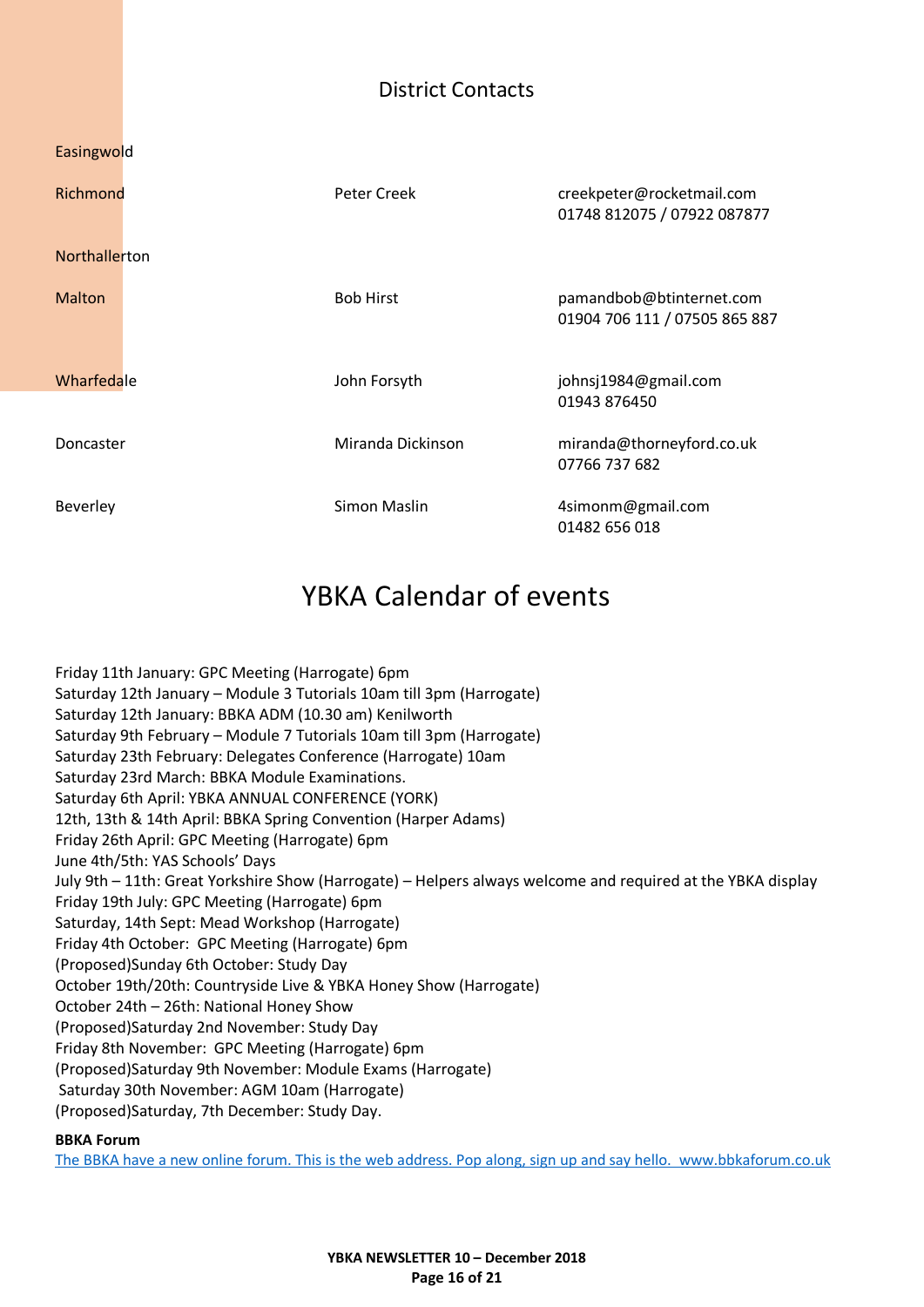## District Contacts

<span id="page-15-0"></span>

| Easingwold    |                   |                                                           |
|---------------|-------------------|-----------------------------------------------------------|
| Richmond      | Peter Creek       | creekpeter@rocketmail.com<br>01748 812075 / 07922 087877  |
| Northallerton |                   |                                                           |
| <b>Malton</b> | <b>Bob Hirst</b>  | pamandbob@btinternet.com<br>01904 706 111 / 07505 865 887 |
| Wharfedale    | John Forsyth      | johnsj1984@gmail.com<br>01943 876450                      |
| Doncaster     | Miranda Dickinson | miranda@thorneyford.co.uk<br>07766 737 682                |
| Beverley      | Simon Maslin      | 4simonm@gmail.com<br>01482 656 018                        |

# YBKA Calendar of events

<span id="page-15-1"></span>Friday 11th January: GPC Meeting (Harrogate) 6pm Saturday 12th January – Module 3 Tutorials 10am till 3pm (Harrogate) Saturday 12th January: BBKA ADM (10.30 am) Kenilworth Saturday 9th February – Module 7 Tutorials 10am till 3pm (Harrogate) Saturday 23th February: Delegates Conference (Harrogate) 10am Saturday 23rd March: BBKA Module Examinations. Saturday 6th April: YBKA ANNUAL CONFERENCE (YORK) 12th, 13th & 14th April: BBKA Spring Convention (Harper Adams) Friday 26th April: GPC Meeting (Harrogate) 6pm June 4th/5th: YAS Schools' Days July 9th – 11th: Great Yorkshire Show (Harrogate) – Helpers always welcome and required at the YBKA display Friday 19th July: GPC Meeting (Harrogate) 6pm Saturday, 14th Sept: Mead Workshop (Harrogate) Friday 4th October: GPC Meeting (Harrogate) 6pm (Proposed)Sunday 6th October: Study Day October 19th/20th: Countryside Live & YBKA Honey Show (Harrogate) October 24th – 26th: National Honey Show (Proposed)Saturday 2nd November: Study Day Friday 8th November: GPC Meeting (Harrogate) 6pm (Proposed)Saturday 9th November: Module Exams (Harrogate) Saturday 30th November: AGM 10am (Harrogate) (Proposed)Saturday, 7th December: Study Day.

#### **BBKA Forum**

[The BBKA have a new online forum. This is the web address. Pop along, sign up and say hello. www.bbkaforum.co.uk](http://www.bbkaforum.co.uk/)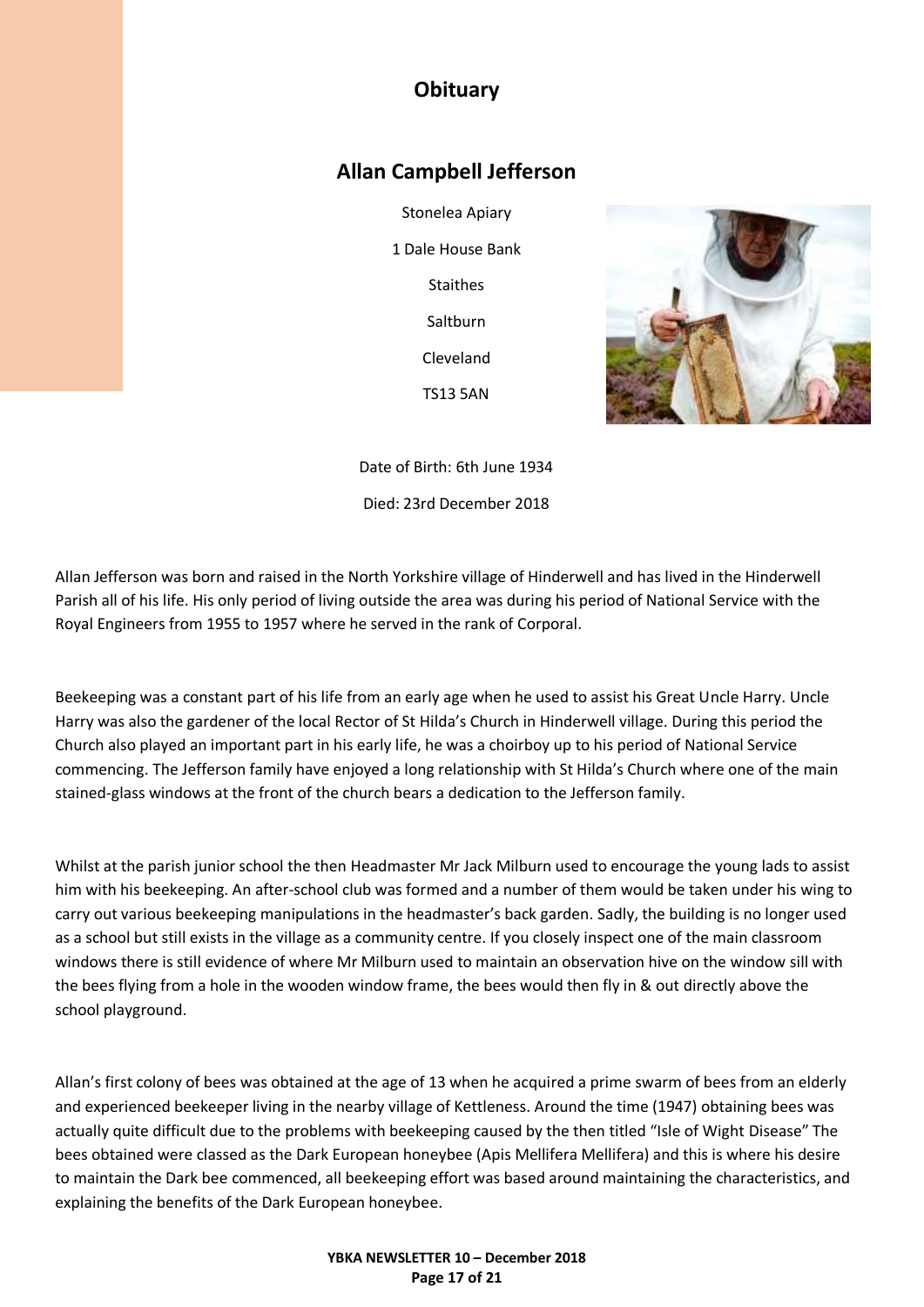## **Obituary**

### <span id="page-16-0"></span>**Allan Campbell Jefferson**

Stonelea Apiary 1 Dale House Bank **Staithes** Saltburn Cleveland TS13 5AN



Date of Birth: 6th June 1934 Died: 23rd December 2018

Allan Jefferson was born and raised in the North Yorkshire village of Hinderwell and has lived in the Hinderwell Parish all of his life. His only period of living outside the area was during his period of National Service with the Royal Engineers from 1955 to 1957 where he served in the rank of Corporal.

Beekeeping was a constant part of his life from an early age when he used to assist his Great Uncle Harry. Uncle Harry was also the gardener of the local Rector of St Hilda's Church in Hinderwell village. During this period the Church also played an important part in his early life, he was a choirboy up to his period of National Service commencing. The Jefferson family have enjoyed a long relationship with St Hilda's Church where one of the main stained-glass windows at the front of the church bears a dedication to the Jefferson family.

Whilst at the parish junior school the then Headmaster Mr Jack Milburn used to encourage the young lads to assist him with his beekeeping. An after-school club was formed and a number of them would be taken under his wing to carry out various beekeeping manipulations in the headmaster's back garden. Sadly, the building is no longer used as a school but still exists in the village as a community centre. If you closely inspect one of the main classroom windows there is still evidence of where Mr Milburn used to maintain an observation hive on the window sill with the bees flying from a hole in the wooden window frame, the bees would then fly in & out directly above the school playground.

Allan's first colony of bees was obtained at the age of 13 when he acquired a prime swarm of bees from an elderly and experienced beekeeper living in the nearby village of Kettleness. Around the time (1947) obtaining bees was actually quite difficult due to the problems with beekeeping caused by the then titled "Isle of Wight Disease" The bees obtained were classed as the Dark European honeybee (Apis Mellifera Mellifera) and this is where his desire to maintain the Dark bee commenced, all beekeeping effort was based around maintaining the characteristics, and explaining the benefits of the Dark European honeybee.

#### **YBKA NEWSLETTER 10 – December 2018 Page 17 of 21**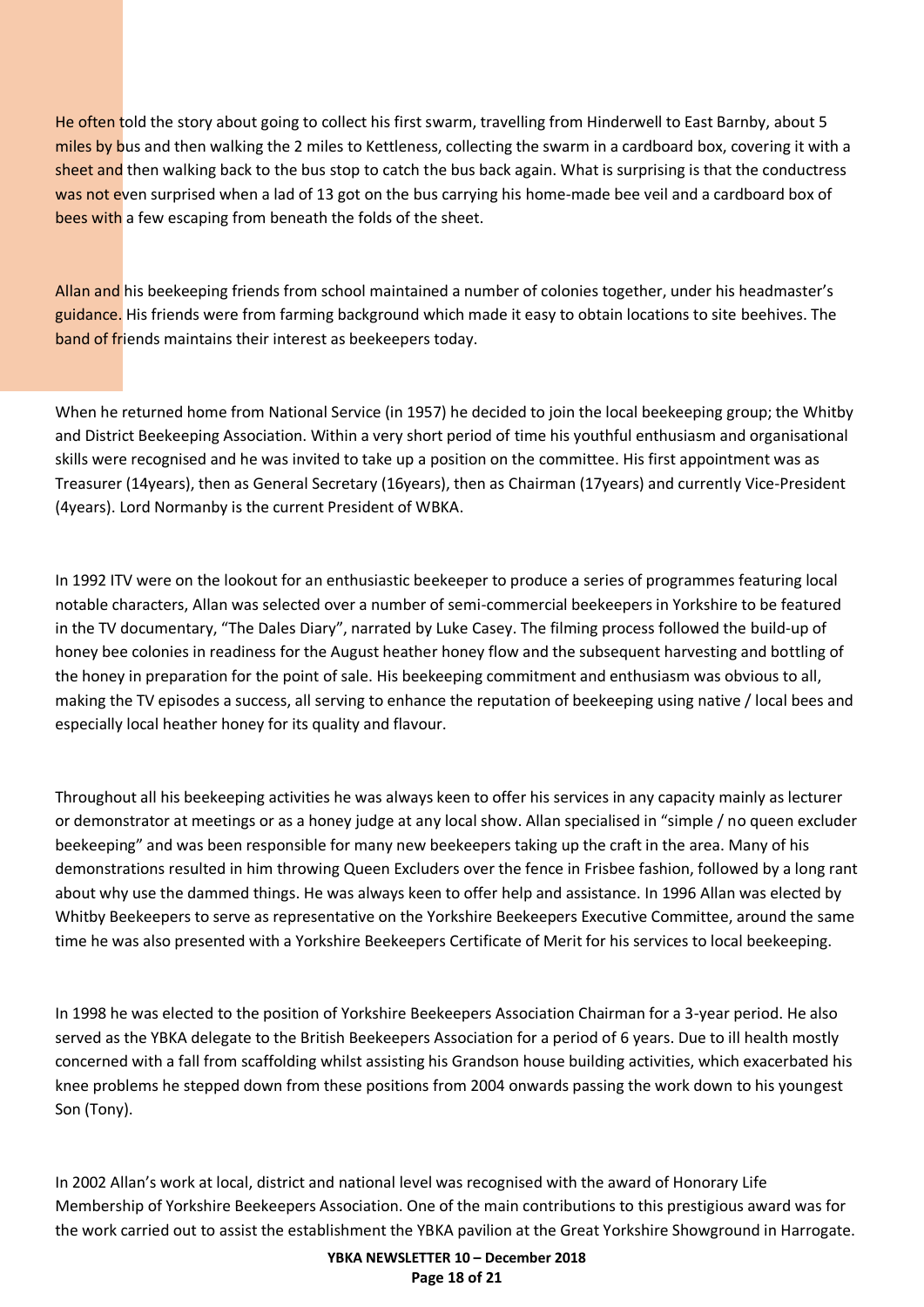He often told the story about going to collect his first swarm, travelling from Hinderwell to East Barnby, about 5 miles by bus and then walking the 2 miles to Kettleness, collecting the swarm in a cardboard box, covering it with a sheet and then walking back to the bus stop to catch the bus back again. What is surprising is that the conductress was not even surprised when a lad of 13 got on the bus carrying his home-made bee veil and a cardboard box of bees with a few escaping from beneath the folds of the sheet.

Allan and his beekeeping friends from school maintained a number of colonies together, under his headmaster's guidance. His friends were from farming background which made it easy to obtain locations to site beehives. The band of friends maintains their interest as beekeepers today.

When he returned home from National Service (in 1957) he decided to join the local beekeeping group; the Whitby and District Beekeeping Association. Within a very short period of time his youthful enthusiasm and organisational skills were recognised and he was invited to take up a position on the committee. His first appointment was as Treasurer (14years), then as General Secretary (16years), then as Chairman (17years) and currently Vice-President (4years). Lord Normanby is the current President of WBKA.

In 1992 ITV were on the lookout for an enthusiastic beekeeper to produce a series of programmes featuring local notable characters, Allan was selected over a number of semi-commercial beekeepers in Yorkshire to be featured in the TV documentary, "The Dales Diary", narrated by Luke Casey. The filming process followed the build-up of honey bee colonies in readiness for the August heather honey flow and the subsequent harvesting and bottling of the honey in preparation for the point of sale. His beekeeping commitment and enthusiasm was obvious to all, making the TV episodes a success, all serving to enhance the reputation of beekeeping using native / local bees and especially local heather honey for its quality and flavour.

Throughout all his beekeeping activities he was always keen to offer his services in any capacity mainly as lecturer or demonstrator at meetings or as a honey judge at any local show. Allan specialised in "simple / no queen excluder beekeeping" and was been responsible for many new beekeepers taking up the craft in the area. Many of his demonstrations resulted in him throwing Queen Excluders over the fence in Frisbee fashion, followed by a long rant about why use the dammed things. He was always keen to offer help and assistance. In 1996 Allan was elected by Whitby Beekeepers to serve as representative on the Yorkshire Beekeepers Executive Committee, around the same time he was also presented with a Yorkshire Beekeepers Certificate of Merit for his services to local beekeeping.

In 1998 he was elected to the position of Yorkshire Beekeepers Association Chairman for a 3-year period. He also served as the YBKA delegate to the British Beekeepers Association for a period of 6 years. Due to ill health mostly concerned with a fall from scaffolding whilst assisting his Grandson house building activities, which exacerbated his knee problems he stepped down from these positions from 2004 onwards passing the work down to his youngest Son (Tony).

In 2002 Allan's work at local, district and national level was recognised with the award of Honorary Life Membership of Yorkshire Beekeepers Association. One of the main contributions to this prestigious award was for the work carried out to assist the establishment the YBKA pavilion at the Great Yorkshire Showground in Harrogate.

> **YBKA NEWSLETTER 10 – December 2018 Page 18 of 21**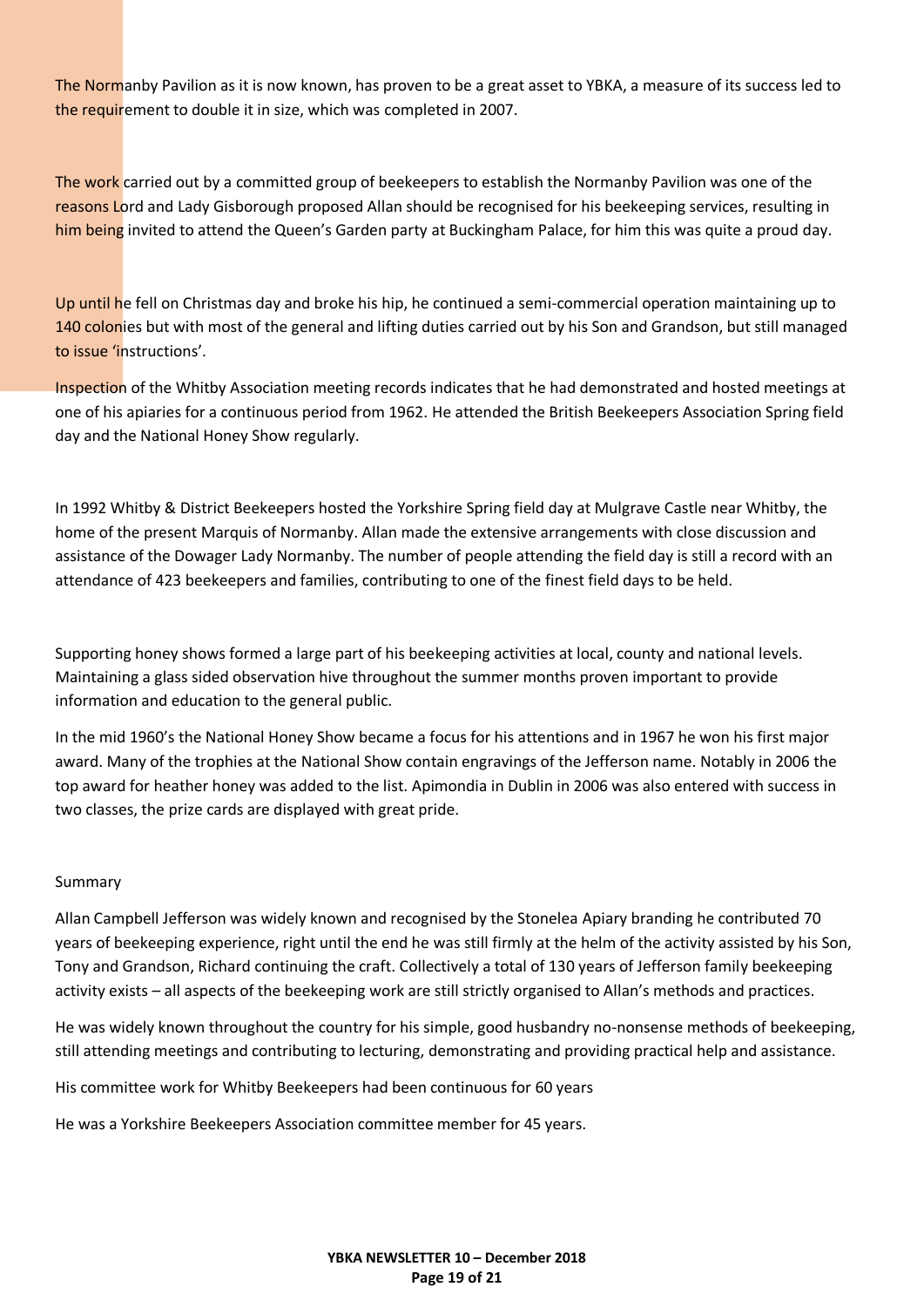The Normanby Pavilion as it is now known, has proven to be a great asset to YBKA, a measure of its success led to the requirement to double it in size, which was completed in 2007.

The work carried out by a committed group of beekeepers to establish the Normanby Pavilion was one of the reasons Lord and Lady Gisborough proposed Allan should be recognised for his beekeeping services, resulting in him being invited to attend the Queen's Garden party at Buckingham Palace, for him this was quite a proud day.

Up until he fell on Christmas day and broke his hip, he continued a semi-commercial operation maintaining up to 140 colonies but with most of the general and lifting duties carried out by his Son and Grandson, but still managed to issue 'instructions'.

Inspection of the Whitby Association meeting records indicates that he had demonstrated and hosted meetings at one of his apiaries for a continuous period from 1962. He attended the British Beekeepers Association Spring field day and the National Honey Show regularly.

In 1992 Whitby & District Beekeepers hosted the Yorkshire Spring field day at Mulgrave Castle near Whitby, the home of the present Marquis of Normanby. Allan made the extensive arrangements with close discussion and assistance of the Dowager Lady Normanby. The number of people attending the field day is still a record with an attendance of 423 beekeepers and families, contributing to one of the finest field days to be held.

Supporting honey shows formed a large part of his beekeeping activities at local, county and national levels. Maintaining a glass sided observation hive throughout the summer months proven important to provide information and education to the general public.

In the mid 1960's the National Honey Show became a focus for his attentions and in 1967 he won his first major award. Many of the trophies at the National Show contain engravings of the Jefferson name. Notably in 2006 the top award for heather honey was added to the list. Apimondia in Dublin in 2006 was also entered with success in two classes, the prize cards are displayed with great pride.

#### Summary

Allan Campbell Jefferson was widely known and recognised by the Stonelea Apiary branding he contributed 70 years of beekeeping experience, right until the end he was still firmly at the helm of the activity assisted by his Son, Tony and Grandson, Richard continuing the craft. Collectively a total of 130 years of Jefferson family beekeeping activity exists – all aspects of the beekeeping work are still strictly organised to Allan's methods and practices.

He was widely known throughout the country for his simple, good husbandry no-nonsense methods of beekeeping, still attending meetings and contributing to lecturing, demonstrating and providing practical help and assistance.

His committee work for Whitby Beekeepers had been continuous for 60 years

He was a Yorkshire Beekeepers Association committee member for 45 years.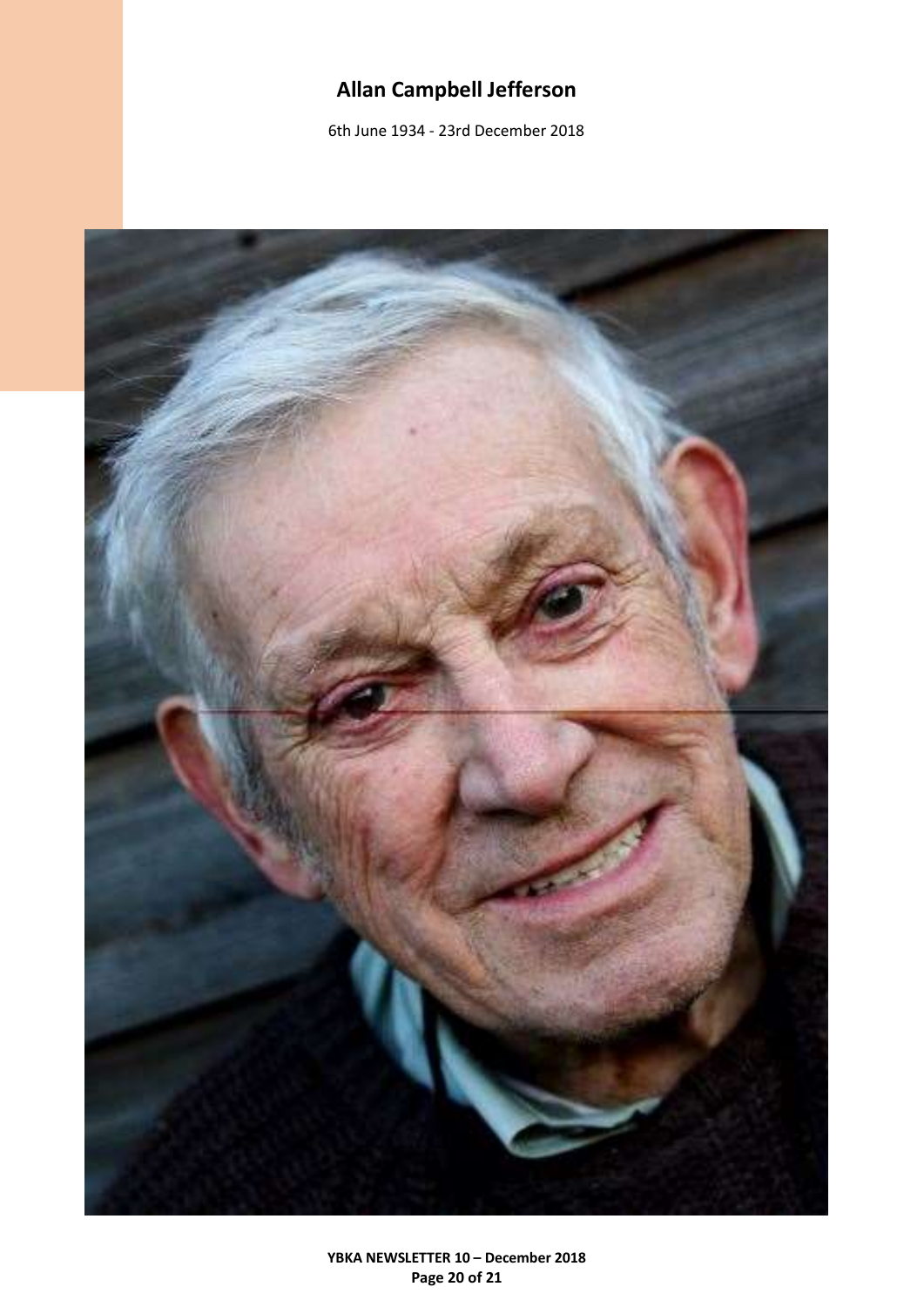# **Allan Campbell Jefferson**

6th June 1934 - 23rd December 2018